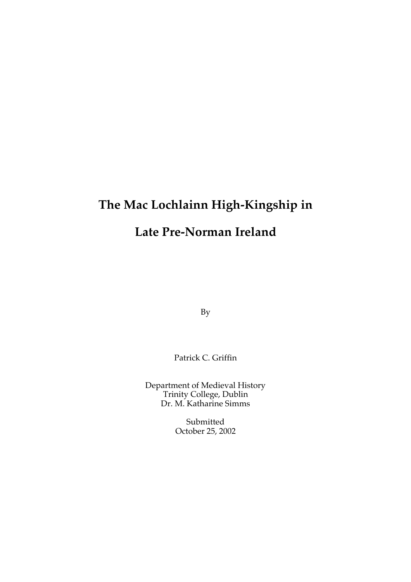# **The Mac Lochlainn High-Kingship in Late Pre-Norman Ireland**

By

Patrick C. Griffin

Department of Medieval History Trinity College, Dublin Dr. M. Katharine Simms

> Submitted October 25, 2002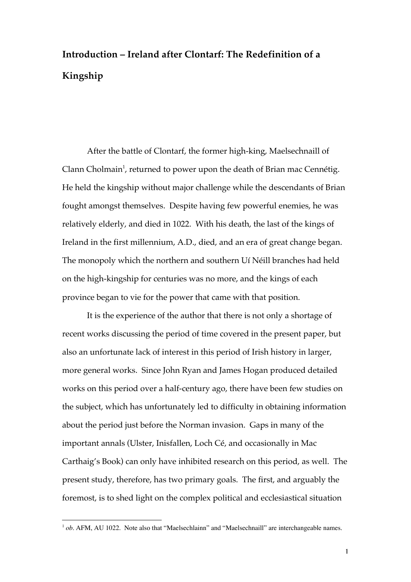## **Introduction – Ireland after Clontarf: The Redefinition of a Kingship**

After the battle of Clontarf, the former high-king, Maelsechnaill of Clann Cholmain<sup>1</sup>, returned to power upon the death of Brian mac Cennétig. He held the kingship without major challenge while the descendants of Brian fought amongst themselves. Despite having few powerful enemies, he was relatively elderly, and died in 1022. With his death, the last of the kings of Ireland in the first millennium, A.D., died, and an era of great change began. The monopoly which the northern and southern Uí Néill branches had held on the high-kingship for centuries was no more, and the kings of each province began to vie for the power that came with that position.

It is the experience of the author that there is not only a shortage of recent works discussing the period of time covered in the present paper, but also an unfortunate lack of interest in this period of Irish history in larger, more general works. Since John Ryan and James Hogan produced detailed works on this period over a half-century ago, there have been few studies on the subject, which has unfortunately led to difficulty in obtaining information about the period just before the Norman invasion. Gaps in many of the important annals (Ulster, Inisfallen, Loch Cé, and occasionally in Mac Carthaig's Book) can only have inhibited research on this period, as well. The present study, therefore, has two primary goals. The first, and arguably the foremost, is to shed light on the complex political and ecclesiastical situation

<sup>&</sup>lt;sup>1</sup> *ob.* AFM, AU 1022. Note also that "Maelsechlainn" and "Maelsechnaill" are interchangeable names.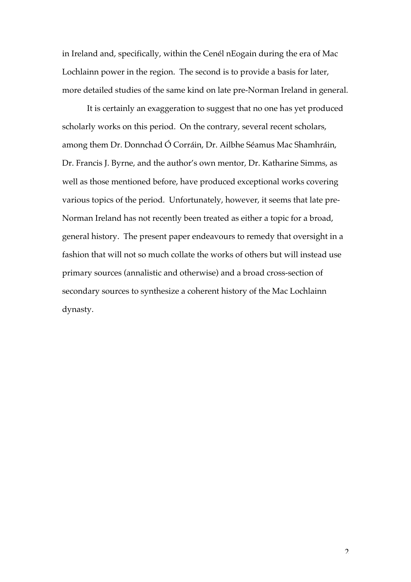in Ireland and, specifically, within the Cenél nEogain during the era of Mac Lochlainn power in the region. The second is to provide a basis for later, more detailed studies of the same kind on late pre-Norman Ireland in general.

It is certainly an exaggeration to suggest that no one has yet produced scholarly works on this period. On the contrary, several recent scholars, among them Dr. Donnchad Ó Corráin, Dr. Ailbhe Séamus Mac Shamhráin, Dr. Francis J. Byrne, and the author's own mentor, Dr. Katharine Simms, as well as those mentioned before, have produced exceptional works covering various topics of the period. Unfortunately, however, it seems that late pre-Norman Ireland has not recently been treated as either a topic for a broad, general history. The present paper endeavours to remedy that oversight in a fashion that will not so much collate the works of others but will instead use primary sources (annalistic and otherwise) and a broad cross-section of secondary sources to synthesize a coherent history of the Mac Lochlainn dynasty.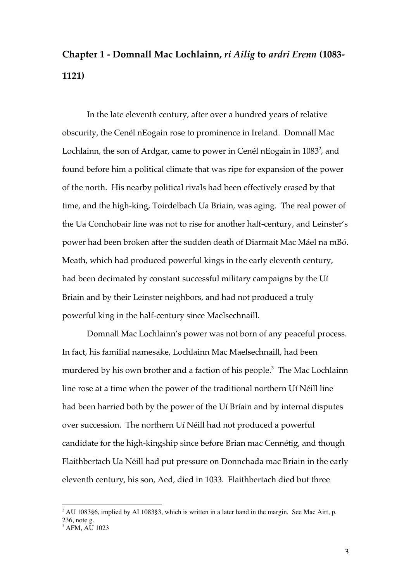#### **Chapter 1 - Domnall Mac Lochlainn,** *ri Ailig* **to** *ardri Erenn* **(1083- 1121)**

In the late eleventh century, after over a hundred years of relative obscurity, the Cenél nEogain rose to prominence in Ireland. Domnall Mac Lochlainn, the son of Ardgar, came to power in Cenél nEogain in  $1083^2$ , and found before him a political climate that was ripe for expansion of the power of the north. His nearby political rivals had been effectively erased by that time, and the high-king, Toirdelbach Ua Briain, was aging. The real power of the Ua Conchobair line was not to rise for another half-century, and Leinster's power had been broken after the sudden death of Diarmait Mac Máel na mBó. Meath, which had produced powerful kings in the early eleventh century, had been decimated by constant successful military campaigns by the Uí Briain and by their Leinster neighbors, and had not produced a truly powerful king in the half-century since Maelsechnaill.

Domnall Mac Lochlainn's power was not born of any peaceful process. In fact, his familial namesake, Lochlainn Mac Maelsechnaill, had been murdered by his own brother and a faction of his people.<sup>3</sup> The Mac Lochlainn line rose at a time when the power of the traditional northern Uí Néill line had been harried both by the power of the Uí Bríain and by internal disputes over succession. The northern Uí Néill had not produced a powerful candidate for the high-kingship since before Brian mac Cennétig, and though Flaithbertach Ua Néill had put pressure on Donnchada mac Briain in the early eleventh century, his son, Aed, died in 1033. Flaithbertach died but three

 $\frac{1}{2}$  $2$  AU 1083§6, implied by AI 1083§3, which is written in a later hand in the margin. See Mac Airt, p. 236, note g.

<sup>3</sup> AFM, AU 1023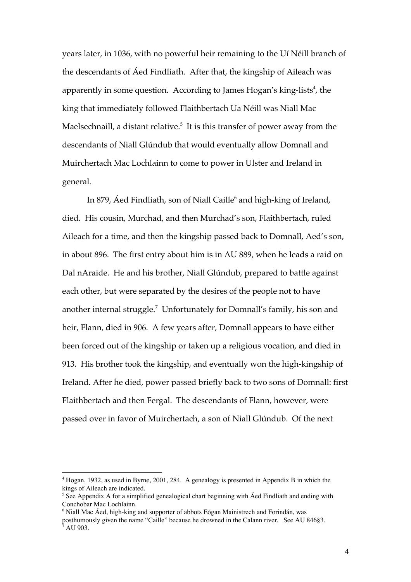years later, in 1036, with no powerful heir remaining to the Uí Néill branch of the descendants of Áed Findliath. After that, the kingship of Aileach was apparently in some question. According to James Hogan's king-lists<sup>4</sup>, the king that immediately followed Flaithbertach Ua Néill was Niall Mac Maelsechnaill, a distant relative. $5$  It is this transfer of power away from the descendants of Niall Glúndub that would eventually allow Domnall and Muirchertach Mac Lochlainn to come to power in Ulster and Ireland in general.

In 879,  $\rm \AA$ ed Findliath, son of Niall Caille $^6$  and high-king of Ireland, died. His cousin, Murchad, and then Murchad's son, Flaithbertach, ruled Aileach for a time, and then the kingship passed back to Domnall, Aed's son, in about 896. The first entry about him is in AU 889, when he leads a raid on Dal nAraide. He and his brother, Niall Glúndub, prepared to battle against each other, but were separated by the desires of the people not to have another internal struggle. $^7$  Unfortunately for Domnall's family, his son and heir, Flann, died in 906. A few years after, Domnall appears to have either been forced out of the kingship or taken up a religious vocation, and died in 913. His brother took the kingship, and eventually won the high-kingship of Ireland. After he died, power passed briefly back to two sons of Domnall: first Flaithbertach and then Fergal. The descendants of Flann, however, were passed over in favor of Muirchertach, a son of Niall Glúndub. Of the next

 $\frac{1}{4}$ <sup>4</sup> Hogan, 1932, as used in Byrne, 2001, 284. A genealogy is presented in Appendix B in which the kings of Aileach are indicated.

<sup>&</sup>lt;sup>5</sup> See Appendix A for a simplified genealogical chart beginning with Áed Findliath and ending with Conchobar Mac Lochlainn.

<sup>6</sup> Niall Mac Áed, high-king and supporter of abbots Eógan Mainistrech and Forindán, was

posthumously given the name "Caille" because he drowned in the Calann river. See AU 846§3.  $^7$  AU 903.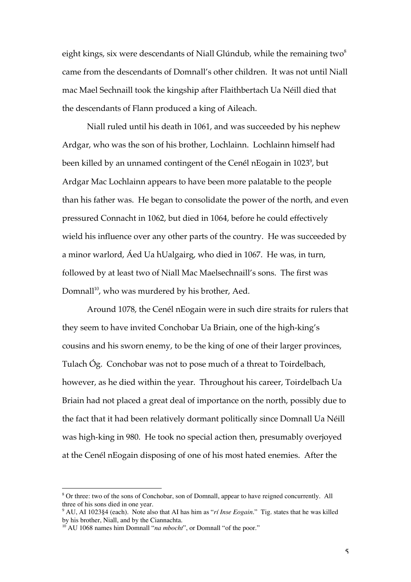eight kings, six were descendants of Niall Glúndub, while the remaining two $^8$ came from the descendants of Domnall's other children. It was not until Niall mac Mael Sechnaill took the kingship after Flaithbertach Ua Néill died that the descendants of Flann produced a king of Aileach.

Niall ruled until his death in 1061, and was succeeded by his nephew Ardgar, who was the son of his brother, Lochlainn. Lochlainn himself had been killed by an unnamed contingent of the Cenél nEogain in 1023 $^{\circ}$ , but Ardgar Mac Lochlainn appears to have been more palatable to the people than his father was. He began to consolidate the power of the north, and even pressured Connacht in 1062, but died in 1064, before he could effectively wield his influence over any other parts of the country. He was succeeded by a minor warlord, Áed Ua hUalgairg, who died in 1067. He was, in turn, followed by at least two of Niall Mac Maelsechnaill's sons. The first was Domnall<sup>10</sup>, who was murdered by his brother, Aed.

Around 1078, the Cenél nEogain were in such dire straits for rulers that they seem to have invited Conchobar Ua Briain, one of the high-king's cousins and his sworn enemy, to be the king of one of their larger provinces, Tulach Óg. Conchobar was not to pose much of a threat to Toirdelbach, however, as he died within the year. Throughout his career, Toirdelbach Ua Briain had not placed a great deal of importance on the north, possibly due to the fact that it had been relatively dormant politically since Domnall Ua Néill was high-king in 980. He took no special action then, presumably overjoyed at the Cenél nEogain disposing of one of his most hated enemies. After the

 <sup>8</sup> <sup>8</sup> Or three: two of the sons of Conchobar, son of Domnall, appear to have reigned concurrently. All three of his sons died in one year.

<sup>9</sup> AU, AI 1023§4 (each). Note also that AI has him as "*rí Inse Eogain.*" Tig. states that he was killed by his brother, Niall, and by the Ciannachta.

<sup>&</sup>lt;sup>10</sup> AU 1068 names him Domnall "*na mbocht*", or Domnall "of the poor."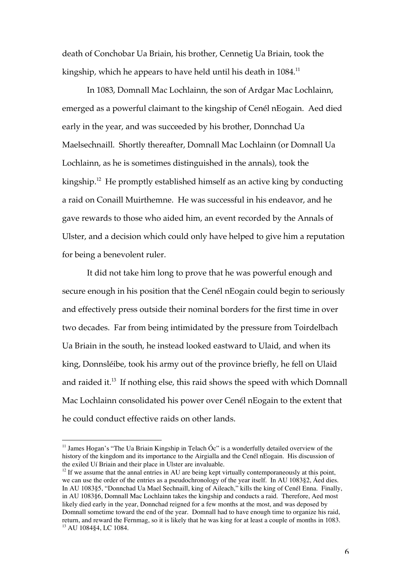death of Conchobar Ua Briain, his brother, Cennetig Ua Briain, took the kingship, which he appears to have held until his death in  $1084$ <sup>11</sup>

In 1083, Domnall Mac Lochlainn, the son of Ardgar Mac Lochlainn, emerged as a powerful claimant to the kingship of Cenél nEogain. Aed died early in the year, and was succeeded by his brother, Donnchad Ua Maelsechnaill. Shortly thereafter, Domnall Mac Lochlainn (or Domnall Ua Lochlainn, as he is sometimes distinguished in the annals), took the kingship.<sup>12</sup> He promptly established himself as an active king by conducting a raid on Conaill Muirthemne. He was successful in his endeavor, and he gave rewards to those who aided him, an event recorded by the Annals of Ulster, and a decision which could only have helped to give him a reputation for being a benevolent ruler.

It did not take him long to prove that he was powerful enough and secure enough in his position that the Cenél nEogain could begin to seriously and effectively press outside their nominal borders for the first time in over two decades. Far from being intimidated by the pressure from Toirdelbach Ua Briain in the south, he instead looked eastward to Ulaid, and when its king, Donnsléibe, took his army out of the province briefly, he fell on Ulaid and raided it.<sup>13</sup> If nothing else, this raid shows the speed with which Domnall Mac Lochlainn consolidated his power over Cenél nEogain to the extent that he could conduct effective raids on other lands.

<sup>&</sup>lt;sup>11</sup> James Hogan's "The Ua Briain Kingship in Telach Óc" is a wonderfully detailed overview of the history of the kingdom and its importance to the Airgialla and the Cenél nEogain. His discussion of the exiled Uí Briain and their place in Ulster are invaluable.

 $12$  If we assume that the annal entries in AU are being kept virtually contemporaneously at this point, we can use the order of the entries as a pseudochronology of the year itself. In AU 1083§2, Áed dies. In AU 1083§5, "Donnchad Ua Mael Sechnaill, king of Aileach," kills the king of Cenél Enna. Finally, in AU 1083§6, Domnall Mac Lochlainn takes the kingship and conducts a raid. Therefore, Aed most likely died early in the year, Donnchad reigned for a few months at the most, and was deposed by Domnall sometime toward the end of the year. Domnall had to have enough time to organize his raid, return, and reward the Fernmag, so it is likely that he was king for at least a couple of months in 1083. 13 AU 1084§4, LC 1084.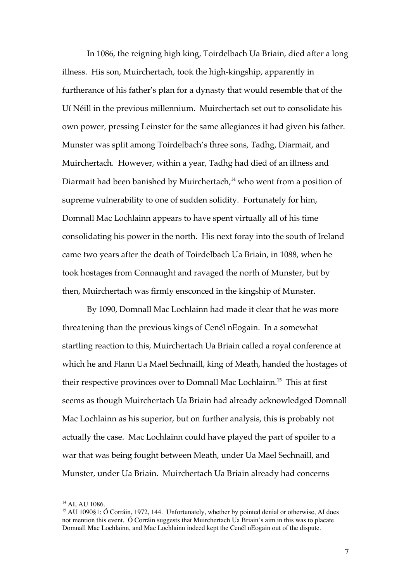In 1086, the reigning high king, Toirdelbach Ua Briain, died after a long illness. His son, Muirchertach, took the high-kingship, apparently in furtherance of his father's plan for a dynasty that would resemble that of the Uí Néill in the previous millennium. Muirchertach set out to consolidate his own power, pressing Leinster for the same allegiances it had given his father. Munster was split among Toirdelbach's three sons, Tadhg, Diarmait, and Muirchertach. However, within a year, Tadhg had died of an illness and Diarmait had been banished by Muirchertach,<sup>14</sup> who went from a position of supreme vulnerability to one of sudden solidity. Fortunately for him, Domnall Mac Lochlainn appears to have spent virtually all of his time consolidating his power in the north. His next foray into the south of Ireland came two years after the death of Toirdelbach Ua Briain, in 1088, when he took hostages from Connaught and ravaged the north of Munster, but by then, Muirchertach was firmly ensconced in the kingship of Munster.

By 1090, Domnall Mac Lochlainn had made it clear that he was more threatening than the previous kings of Cenél nEogain. In a somewhat startling reaction to this, Muirchertach Ua Briain called a royal conference at which he and Flann Ua Mael Sechnaill, king of Meath, handed the hostages of their respective provinces over to Domnall Mac Lochlainn.<sup>15</sup> This at first seems as though Muirchertach Ua Briain had already acknowledged Domnall Mac Lochlainn as his superior, but on further analysis, this is probably not actually the case. Mac Lochlainn could have played the part of spoiler to a war that was being fought between Meath, under Ua Mael Sechnaill, and Munster, under Ua Briain. Muirchertach Ua Briain already had concerns

<sup>&</sup>lt;sup>14</sup> AI, AU 1086.

<sup>&</sup>lt;sup>15</sup> AU 1090§1; Ó Corráin, 1972, 144. Unfortunately, whether by pointed denial or otherwise, AI does not mention this event. Ó Corráin suggests that Muirchertach Ua Briain's aim in this was to placate Domnall Mac Lochlainn, and Mac Lochlainn indeed kept the Cenél nEogain out of the dispute.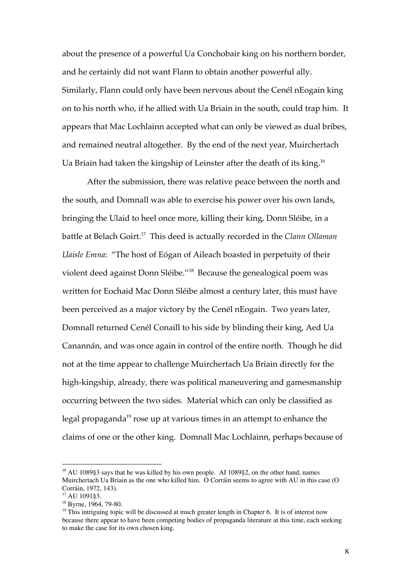about the presence of a powerful Ua Conchobair king on his northern border, and he certainly did not want Flann to obtain another powerful ally. Similarly, Flann could only have been nervous about the Cenél nEogain king on to his north who, if he allied with Ua Briain in the south, could trap him. It appears that Mac Lochlainn accepted what can only be viewed as dual bribes, and remained neutral altogether. By the end of the next year, Muirchertach Ua Briain had taken the kingship of Leinster after the death of its king.<sup>16</sup>

After the submission, there was relative peace between the north and the south, and Domnall was able to exercise his power over his own lands, bringing the Ulaid to heel once more, killing their king, Donn Sléibe, in a battle at Belach Goirt.17 This deed is actually recorded in the *Clann Ollaman Uaisle Emna*: "The host of Eógan of Aileach boasted in perpetuity of their violent deed against Donn Sléibe."<sup>18</sup> Because the genealogical poem was written for Eochaid Mac Donn Sléibe almost a century later, this must have been perceived as a major victory by the Cenél nEogain. Two years later, Domnall returned Cenél Conaill to his side by blinding their king, Aed Ua Canannán, and was once again in control of the entire north. Though he did not at the time appear to challenge Muirchertach Ua Briain directly for the high-kingship, already, there was political maneuvering and gamesmanship occurring between the two sides. Material which can only be classified as legal propaganda $^{\rm 19}$  rose up at various times in an attempt to enhance the claims of one or the other king. Domnall Mac Lochlainn, perhaps because of

 <sup>16</sup> AU 1089§3 says that he was killed by his own people. AI 1089§2, on the other hand, names Muirchertach Ua Briain as the one who killed him. O Corráin seems to agree with AU in this case (O Corráin, 1972, 143).

<sup>17</sup> AU 1091§3.

<sup>&</sup>lt;sup>18</sup> Byrne, 1964, 79-80.

<sup>&</sup>lt;sup>19</sup> This intriguing topic will be discussed at much greater length in Chapter 6. It is of interest now because there appear to have been competing bodies of propaganda literature at this time, each seeking to make the case for its own chosen king.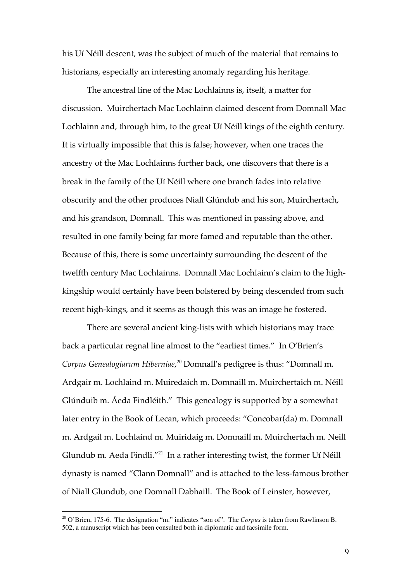his Uí Néill descent, was the subject of much of the material that remains to historians, especially an interesting anomaly regarding his heritage.

The ancestral line of the Mac Lochlainns is, itself, a matter for discussion. Muirchertach Mac Lochlainn claimed descent from Domnall Mac Lochlainn and, through him, to the great Uí Néill kings of the eighth century. It is virtually impossible that this is false; however, when one traces the ancestry of the Mac Lochlainns further back, one discovers that there is a break in the family of the Uí Néill where one branch fades into relative obscurity and the other produces Niall Glúndub and his son, Muirchertach, and his grandson, Domnall. This was mentioned in passing above, and resulted in one family being far more famed and reputable than the other. Because of this, there is some uncertainty surrounding the descent of the twelfth century Mac Lochlainns. Domnall Mac Lochlainn's claim to the highkingship would certainly have been bolstered by being descended from such recent high-kings, and it seems as though this was an image he fostered.

There are several ancient king-lists with which historians may trace back a particular regnal line almost to the "earliest times." In O'Brien's *Corpus Genealogiarum Hiberniae*, 20 Domnall's pedigree is thus: "Domnall m. Ardgair m. Lochlaind m. Muiredaich m. Domnaill m. Muirchertaich m. Néill Glúnduib m. Áeda Findléith." This genealogy is supported by a somewhat later entry in the Book of Lecan, which proceeds: "Concobar(da) m. Domnall m. Ardgail m. Lochlaind m. Muiridaig m. Domnaill m. Muirchertach m. Neill Glundub m. Aeda Findli."<sup>21</sup> In a rather interesting twist, the former Uí Néill dynasty is named "Clann Domnall" and is attached to the less-famous brother of Niall Glundub, one Domnall Dabhaill. The Book of Leinster, however,

 <sup>20</sup> O'Brien, 175-6. The designation "m." indicates "son of". The *Corpus* is taken from Rawlinson B. 502, a manuscript which has been consulted both in diplomatic and facsimile form.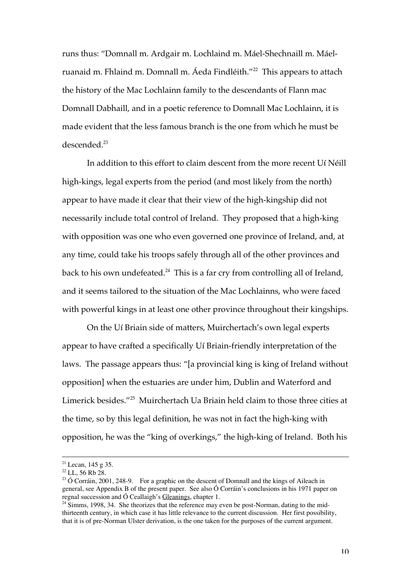runs thus: "Domnall m. Ardgair m. Lochlaind m. Máel-Shechnaill m. Máelruanaid m. Fhlaind m. Domnall m. Áeda Findléith."<sup>22</sup> This appears to attach the history of the Mac Lochlainn family to the descendants of Flann mac Domnall Dabhaill, and in a poetic reference to Domnall Mac Lochlainn, it is made evident that the less famous branch is the one from which he must be descended.<sup>23</sup>

In addition to this effort to claim descent from the more recent Uí Néill high-kings, legal experts from the period (and most likely from the north) appear to have made it clear that their view of the high-kingship did not necessarily include total control of Ireland. They proposed that a high-king with opposition was one who even governed one province of Ireland, and, at any time, could take his troops safely through all of the other provinces and back to his own undefeated. $^{24}$  This is a far cry from controlling all of Ireland, and it seems tailored to the situation of the Mac Lochlainns, who were faced with powerful kings in at least one other province throughout their kingships.

On the Uí Briain side of matters, Muirchertach's own legal experts appear to have crafted a specifically Uí Briain-friendly interpretation of the laws. The passage appears thus: "[a provincial king is king of Ireland without opposition] when the estuaries are under him, Dublin and Waterford and Limerick besides."<sup>25</sup> Muirchertach Ua Briain held claim to those three cities at the time, so by this legal definition, he was not in fact the high-king with opposition, he was the "king of overkings," the high-king of Ireland. Both his

<sup>&</sup>lt;sup>21</sup> Lecan, 145 g 35.

 $22$  LL, 56 Rb 28.

 $2^{23}$  Ó Corráin, 2001, 248-9. For a graphic on the descent of Domnall and the kings of Aileach in general, see Appendix B of the present paper. See also Ó Corráin's conclusions in his 1971 paper on regnal succession and  $\acute{o}$  Ceallaigh's Gleanings, chapter 1.

 $24$  Simms, 1998, 34. She theorizes that the reference may even be post-Norman, dating to the midthirteenth century, in which case it has little relevance to the current discussion. Her first possibility, that it is of pre-Norman Ulster derivation, is the one taken for the purposes of the current argument.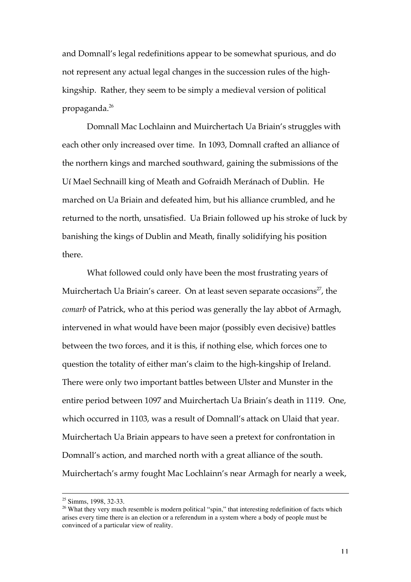and Domnall's legal redefinitions appear to be somewhat spurious, and do not represent any actual legal changes in the succession rules of the highkingship. Rather, they seem to be simply a medieval version of political propaganda.<sup>26</sup>

Domnall Mac Lochlainn and Muirchertach Ua Briain's struggles with each other only increased over time. In 1093, Domnall crafted an alliance of the northern kings and marched southward, gaining the submissions of the Uí Mael Sechnaill king of Meath and Gofraidh Meránach of Dublin. He marched on Ua Briain and defeated him, but his alliance crumbled, and he returned to the north, unsatisfied. Ua Briain followed up his stroke of luck by banishing the kings of Dublin and Meath, finally solidifying his position there.

What followed could only have been the most frustrating years of Muirchertach Ua Briain's career. On at least seven separate occasions<sup>27</sup>, the *comarb* of Patrick, who at this period was generally the lay abbot of Armagh, intervened in what would have been major (possibly even decisive) battles between the two forces, and it is this, if nothing else, which forces one to question the totality of either man's claim to the high-kingship of Ireland. There were only two important battles between Ulster and Munster in the entire period between 1097 and Muirchertach Ua Briain's death in 1119. One, which occurred in 1103, was a result of Domnall's attack on Ulaid that year. Muirchertach Ua Briain appears to have seen a pretext for confrontation in Domnall's action, and marched north with a great alliance of the south. Muirchertach's army fought Mac Lochlainn's near Armagh for nearly a week,

 <sup>25</sup> Simms, 1998, 32-33.

<sup>&</sup>lt;sup>26</sup> What they very much resemble is modern political "spin," that interesting redefinition of facts which arises every time there is an election or a referendum in a system where a body of people must be convinced of a particular view of reality.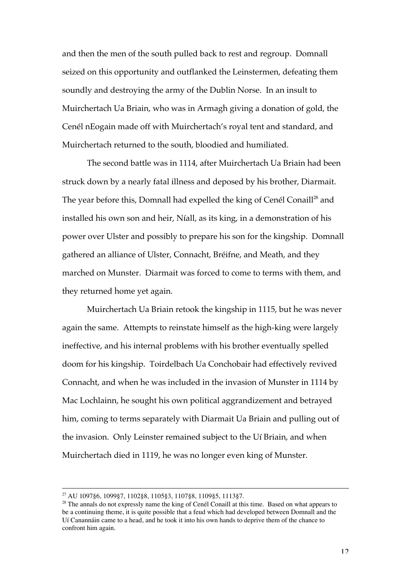and then the men of the south pulled back to rest and regroup. Domnall seized on this opportunity and outflanked the Leinstermen, defeating them soundly and destroying the army of the Dublin Norse. In an insult to Muirchertach Ua Briain, who was in Armagh giving a donation of gold, the Cenél nEogain made off with Muirchertach's royal tent and standard, and Muirchertach returned to the south, bloodied and humiliated.

The second battle was in 1114, after Muirchertach Ua Briain had been struck down by a nearly fatal illness and deposed by his brother, Diarmait. The year before this, Domnall had expelled the king of Cenél Conaill<sup>28</sup> and installed his own son and heir, Níall, as its king, in a demonstration of his power over Ulster and possibly to prepare his son for the kingship. Domnall gathered an alliance of Ulster, Connacht, Bréifne, and Meath, and they marched on Munster. Diarmait was forced to come to terms with them, and they returned home yet again.

Muirchertach Ua Briain retook the kingship in 1115, but he was never again the same. Attempts to reinstate himself as the high-king were largely ineffective, and his internal problems with his brother eventually spelled doom for his kingship. Toirdelbach Ua Conchobair had effectively revived Connacht, and when he was included in the invasion of Munster in 1114 by Mac Lochlainn, he sought his own political aggrandizement and betrayed him, coming to terms separately with Diarmait Ua Briain and pulling out of the invasion. Only Leinster remained subject to the Uí Briain, and when Muirchertach died in 1119, he was no longer even king of Munster.

 <sup>27</sup> AU 1097§6, 1099§7, 1102§8, 1105§3, 1107§8, 1109§5, 1113§7.

<sup>&</sup>lt;sup>28</sup> The annals do not expressly name the king of Cenél Conaill at this time. Based on what appears to be a continuing theme, it is quite possible that a feud which had developed between Domnall and the Uí Canannáin came to a head, and he took it into his own hands to deprive them of the chance to confront him again.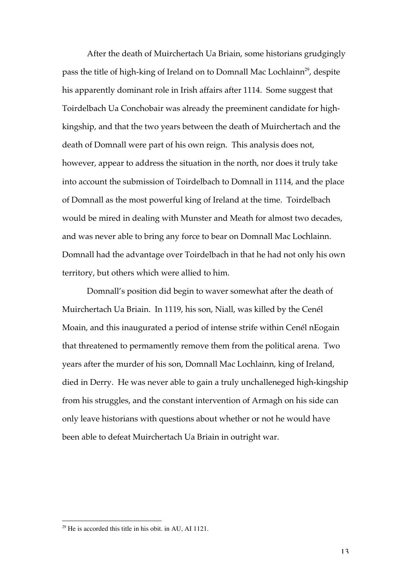After the death of Muirchertach Ua Briain, some historians grudgingly pass the title of high-king of Ireland on to Domnall Mac Lochlainn<sup>29</sup>, despite his apparently dominant role in Irish affairs after 1114. Some suggest that Toirdelbach Ua Conchobair was already the preeminent candidate for highkingship, and that the two years between the death of Muirchertach and the death of Domnall were part of his own reign. This analysis does not, however, appear to address the situation in the north, nor does it truly take into account the submission of Toirdelbach to Domnall in 1114, and the place of Domnall as the most powerful king of Ireland at the time. Toirdelbach would be mired in dealing with Munster and Meath for almost two decades, and was never able to bring any force to bear on Domnall Mac Lochlainn. Domnall had the advantage over Toirdelbach in that he had not only his own territory, but others which were allied to him.

Domnall's position did begin to waver somewhat after the death of Muirchertach Ua Briain. In 1119, his son, Niall, was killed by the Cenél Moain, and this inaugurated a period of intense strife within Cenél nEogain that threatened to permamently remove them from the political arena. Two years after the murder of his son, Domnall Mac Lochlainn, king of Ireland, died in Derry. He was never able to gain a truly unchalleneged high-kingship from his struggles, and the constant intervention of Armagh on his side can only leave historians with questions about whether or not he would have been able to defeat Muirchertach Ua Briain in outright war.

 $\frac{29}{29}$  He is accorded this title in his obit. in AU, AI 1121.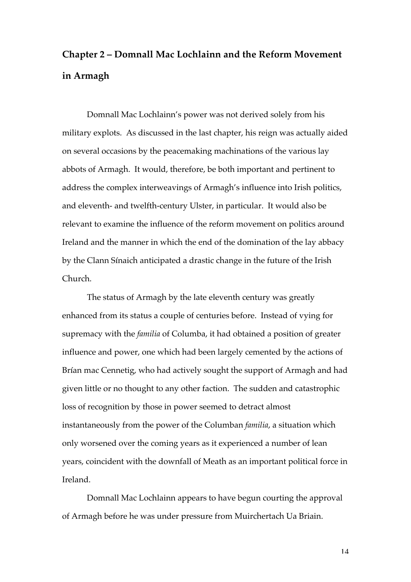## **Chapter 2 – Domnall Mac Lochlainn and the Reform Movement in Armagh**

Domnall Mac Lochlainn's power was not derived solely from his military explots. As discussed in the last chapter, his reign was actually aided on several occasions by the peacemaking machinations of the various lay abbots of Armagh. It would, therefore, be both important and pertinent to address the complex interweavings of Armagh's influence into Irish politics, and eleventh- and twelfth-century Ulster, in particular. It would also be relevant to examine the influence of the reform movement on politics around Ireland and the manner in which the end of the domination of the lay abbacy by the Clann Sínaich anticipated a drastic change in the future of the Irish Church.

The status of Armagh by the late eleventh century was greatly enhanced from its status a couple of centuries before. Instead of vying for supremacy with the *familia* of Columba, it had obtained a position of greater influence and power, one which had been largely cemented by the actions of Brían mac Cennetig, who had actively sought the support of Armagh and had given little or no thought to any other faction. The sudden and catastrophic loss of recognition by those in power seemed to detract almost instantaneously from the power of the Columban *familia*, a situation which only worsened over the coming years as it experienced a number of lean years, coincident with the downfall of Meath as an important political force in Ireland.

Domnall Mac Lochlainn appears to have begun courting the approval of Armagh before he was under pressure from Muirchertach Ua Briain.

14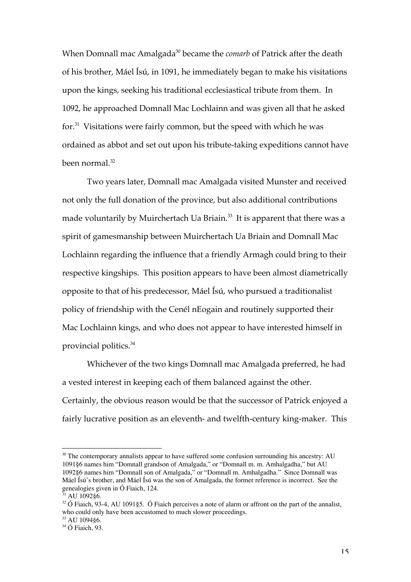When Domnall mac Amalgada<sup>30</sup> became the *comarb* of Patrick after the death of his brother, Máel Ísú, in 1091, he immediately began to make his visitations upon the kings, seeking his traditional ecclesiastical tribute from them. In 1092, he approached Domnall Mac Lochlainn and was given all that he asked for.<sup>31</sup> Visitations were fairly common, but the speed with which he was ordained as abbot and set out upon his tribute-taking expeditions cannot have been normal. $32$ 

Two years later, Domnall mac Amalgada visited Munster and received not only the full donation of the province, but also additional contributions made voluntarily by Muirchertach Ua Briain. $^{\text{33}}$  It is apparent that there was a spirit of gamesmanship between Muirchertach Ua Briain and Domnall Mac Lochlainn regarding the influence that a friendly Armagh could bring to their respective kingships. This position appears to have been almost diametrically opposite to that of his predecessor, Máel Ísú, who pursued a traditionalist policy of friendship with the Cenél nEogain and routinely supported their Mac Lochlainn kings, and who does not appear to have interested himself in provincial politics.<sup>34</sup>

Whichever of the two kings Domnall mac Amalgada preferred, he had a vested interest in keeping each of them balanced against the other. Certainly, the obvious reason would be that the successor of Patrick enjoyed a fairly lucrative position as an eleventh- and twelfth-century king-maker. This

<sup>&</sup>lt;sup>30</sup> The contemporary annalists appear to have suffered some confusion surrounding his ancestry: AU 1091§6 names him "Domnall grandson of Amalgada," or "Domnall m. m. Amhalgadha," but AU 1092§6 names him "Domnall son of Amalgada," or "Domnall m. Amhalgadha." Since Domnall was Máel Ísú's brother, and Máel Ísú was the son of Amalgada, the former reference is incorrect. See the genealogies given in Ó Fiaich, 124.<br><sup>31</sup> AIL100286

AU 1092§6.

 $32$  Ó Fiaich, 93-4, AU 1091§5. Ó Fiaich perceives a note of alarm or affront on the part of the annalist, who could only have been accustomed to much slower proceedings.

<sup>33</sup> AU 1094§6.

<sup>34</sup> Ó Fiaich, 93.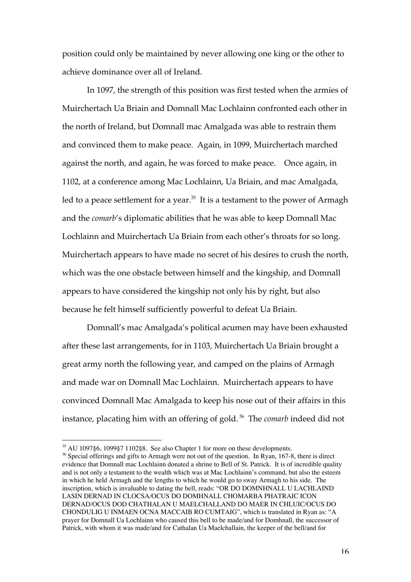position could only be maintained by never allowing one king or the other to achieve dominance over all of Ireland.

In 1097, the strength of this position was first tested when the armies of Muirchertach Ua Briain and Domnall Mac Lochlainn confronted each other in the north of Ireland, but Domnall mac Amalgada was able to restrain them and convinced them to make peace. Again, in 1099, Muirchertach marched against the north, and again, he was forced to make peace. Once again, in 1102, at a conference among Mac Lochlainn, Ua Briain, and mac Amalgada, led to a peace settlement for a year. $^{35}$  It is a testament to the power of Armagh and the *comarb*'s diplomatic abilities that he was able to keep Domnall Mac Lochlainn and Muirchertach Ua Briain from each other's throats for so long. Muirchertach appears to have made no secret of his desires to crush the north, which was the one obstacle between himself and the kingship, and Domnall appears to have considered the kingship not only his by right, but also because he felt himself sufficiently powerful to defeat Ua Briain.

Domnall's mac Amalgada's political acumen may have been exhausted after these last arrangements, for in 1103, Muirchertach Ua Briain brought a great army north the following year, and camped on the plains of Armagh and made war on Domnall Mac Lochlainn. Muirchertach appears to have convinced Domnall Mac Amalgada to keep his nose out of their affairs in this instance, placating him with an offering of gold. <sup>36</sup> The *comarb* indeed did not

 <sup>35</sup> AU 1097§6, 1099§7 1102§8. See also Chapter 1 for more on these developments.

<sup>&</sup>lt;sup>36</sup> Special offerings and gifts to Armagh were not out of the question. In Ryan, 167-8, there is direct evidence that Domnall mac Lochlainn donated a shrine to Bell of St. Patrick. It is of incredible quality and is not only a testament to the wealth which was at Mac Lochlainn's command, but also the esteem in which he held Armagh and the lengths to which he would go to sway Armagh to his side. The inscription, which is invaluable to dating the bell, reads: "OR DO DOMNHNALL U LACHLAIND LASIN DERNAD IN CLOCSA/OCUS DO DOMHNALL CHOMARBA PHATRAIC ICON DERNAD/OCUS DOD CHATHALAN U MAELCHALLAND DO MAER IN CHLUIC/OCUS DO CHONDULIG U INMAEN OCNA MACCAIB RO CUMTAIG", which is translated in Ryan as: "A prayer for Domnall Ua Lochlainn who caused this bell to be made/and for Domhnall, the successor of Patrick, with whom it was made/and for Cathalan Ua Maelchallain, the keeper of the bell/and for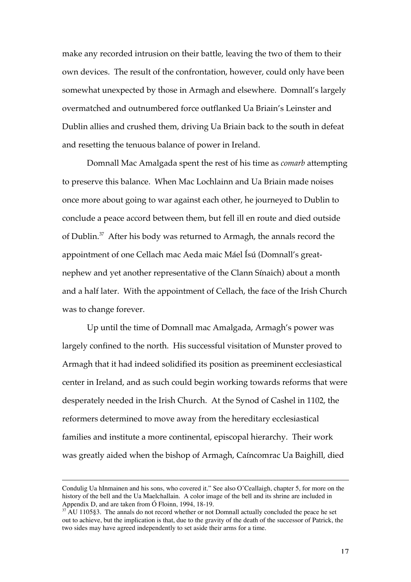make any recorded intrusion on their battle, leaving the two of them to their own devices. The result of the confrontation, however, could only have been somewhat unexpected by those in Armagh and elsewhere. Domnall's largely overmatched and outnumbered force outflanked Ua Briain's Leinster and Dublin allies and crushed them, driving Ua Briain back to the south in defeat and resetting the tenuous balance of power in Ireland.

Domnall Mac Amalgada spent the rest of his time as *comarb* attempting to preserve this balance. When Mac Lochlainn and Ua Briain made noises once more about going to war against each other, he journeyed to Dublin to conclude a peace accord between them, but fell ill en route and died outside of Dublin. $37$  After his body was returned to Armagh, the annals record the appointment of one Cellach mac Aeda maic Máel Ísú (Domnall's greatnephew and yet another representative of the Clann Sínaich) about a month and a half later. With the appointment of Cellach, the face of the Irish Church was to change forever.

Up until the time of Domnall mac Amalgada, Armagh's power was largely confined to the north. His successful visitation of Munster proved to Armagh that it had indeed solidified its position as preeminent ecclesiastical center in Ireland, and as such could begin working towards reforms that were desperately needed in the Irish Church. At the Synod of Cashel in 1102, the reformers determined to move away from the hereditary ecclesiastical families and institute a more continental, episcopal hierarchy. Their work was greatly aided when the bishop of Armagh, Caíncomrac Ua Baighill, died

 $\overline{a}$ 

Condulig Ua hInmainen and his sons, who covered it." See also O'Ceallaigh, chapter 5, for more on the history of the bell and the Ua Maelchallain. A color image of the bell and its shrine are included in Appendix D, and are taken from Ó Floinn, 1994, 18-19.

 $37$  AU 1105§3. The annals do not record whether or not Domnall actually concluded the peace he set out to achieve, but the implication is that, due to the gravity of the death of the successor of Patrick, the two sides may have agreed independently to set aside their arms for a time.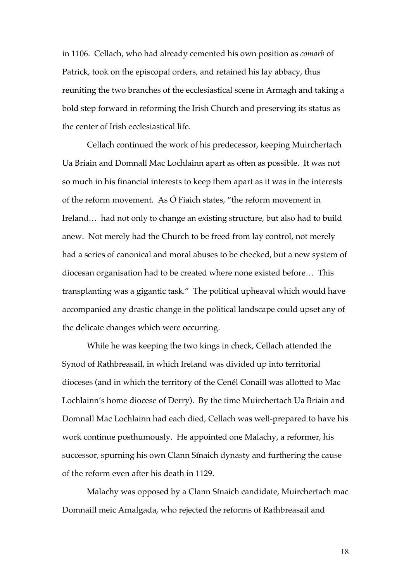in 1106. Cellach, who had already cemented his own position as *comarb* of Patrick, took on the episcopal orders, and retained his lay abbacy, thus reuniting the two branches of the ecclesiastical scene in Armagh and taking a bold step forward in reforming the Irish Church and preserving its status as the center of Irish ecclesiastical life.

Cellach continued the work of his predecessor, keeping Muirchertach Ua Briain and Domnall Mac Lochlainn apart as often as possible. It was not so much in his financial interests to keep them apart as it was in the interests of the reform movement. As Ó Fiaich states, "the reform movement in Ireland… had not only to change an existing structure, but also had to build anew. Not merely had the Church to be freed from lay control, not merely had a series of canonical and moral abuses to be checked, but a new system of diocesan organisation had to be created where none existed before… This transplanting was a gigantic task." The political upheaval which would have accompanied any drastic change in the political landscape could upset any of the delicate changes which were occurring.

While he was keeping the two kings in check, Cellach attended the Synod of Rathbreasail, in which Ireland was divided up into territorial dioceses (and in which the territory of the Cenél Conaill was allotted to Mac Lochlainn's home diocese of Derry). By the time Muirchertach Ua Briain and Domnall Mac Lochlainn had each died, Cellach was well-prepared to have his work continue posthumously. He appointed one Malachy, a reformer, his successor, spurning his own Clann Sínaich dynasty and furthering the cause of the reform even after his death in 1129.

Malachy was opposed by a Clann Sínaich candidate, Muirchertach mac Domnaill meic Amalgada, who rejected the reforms of Rathbreasail and

18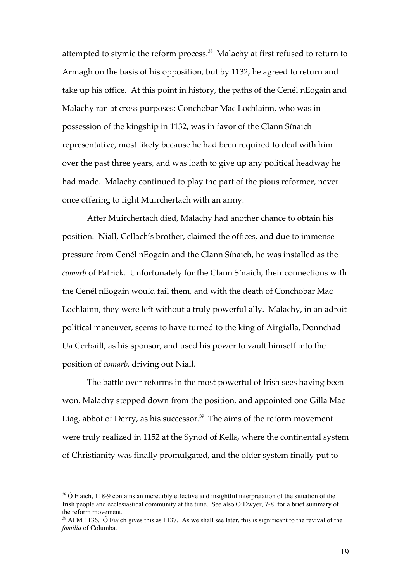attempted to stymie the reform process. $^{38}$  Malachy at first refused to return to Armagh on the basis of his opposition, but by 1132, he agreed to return and take up his office. At this point in history, the paths of the Cenél nEogain and Malachy ran at cross purposes: Conchobar Mac Lochlainn, who was in possession of the kingship in 1132, was in favor of the Clann Sínaich representative, most likely because he had been required to deal with him over the past three years, and was loath to give up any political headway he had made. Malachy continued to play the part of the pious reformer, never once offering to fight Muirchertach with an army.

After Muirchertach died, Malachy had another chance to obtain his position. Niall, Cellach's brother, claimed the offices, and due to immense pressure from Cenél nEogain and the Clann Sínaich, he was installed as the *comarb* of Patrick. Unfortunately for the Clann Sínaich, their connections with the Cenél nEogain would fail them, and with the death of Conchobar Mac Lochlainn, they were left without a truly powerful ally. Malachy, in an adroit political maneuver, seems to have turned to the king of Airgialla, Donnchad Ua Cerbaill, as his sponsor, and used his power to vault himself into the position of *comarb*, driving out Niall.

The battle over reforms in the most powerful of Irish sees having been won, Malachy stepped down from the position, and appointed one Gilla Mac Liag, abbot of Derry, as his successor. $39$  The aims of the reform movement were truly realized in 1152 at the Synod of Kells, where the continental system of Christianity was finally promulgated, and the older system finally put to

<sup>&</sup>lt;sup>38</sup> Ó Fiaich, 118-9 contains an incredibly effective and insightful interpretation of the situation of the Irish people and ecclesiastical community at the time. See also O'Dwyer, 7-8, for a brief summary of the reform movement.

 $39$  AFM 1136. Ó Fiaich gives this as 1137. As we shall see later, this is significant to the revival of the *familia* of Columba.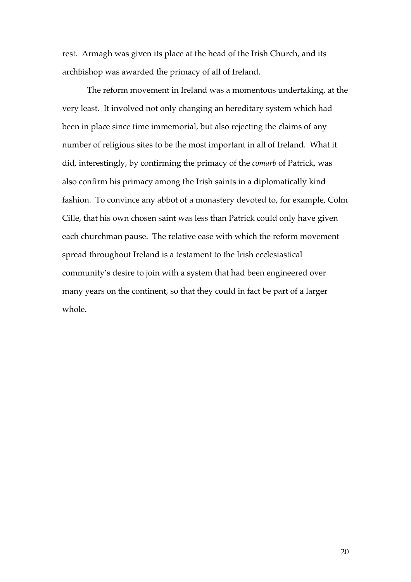rest. Armagh was given its place at the head of the Irish Church, and its archbishop was awarded the primacy of all of Ireland.

The reform movement in Ireland was a momentous undertaking, at the very least. It involved not only changing an hereditary system which had been in place since time immemorial, but also rejecting the claims of any number of religious sites to be the most important in all of Ireland. What it did, interestingly, by confirming the primacy of the *comarb* of Patrick, was also confirm his primacy among the Irish saints in a diplomatically kind fashion. To convince any abbot of a monastery devoted to, for example, Colm Cille, that his own chosen saint was less than Patrick could only have given each churchman pause. The relative ease with which the reform movement spread throughout Ireland is a testament to the Irish ecclesiastical community's desire to join with a system that had been engineered over many years on the continent, so that they could in fact be part of a larger whole.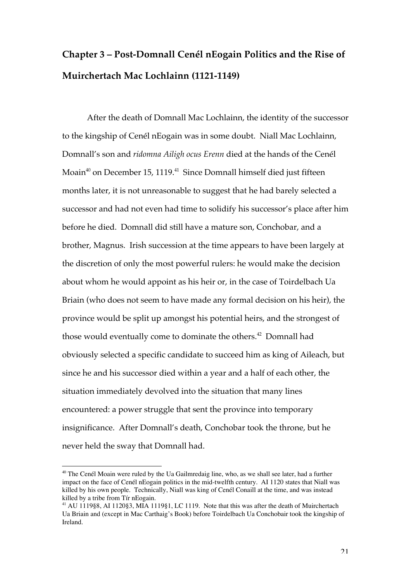#### **Chapter 3 – Post-Domnall Cenél nEogain Politics and the Rise of Muirchertach Mac Lochlainn (1121-1149)**

After the death of Domnall Mac Lochlainn, the identity of the successor to the kingship of Cenél nEogain was in some doubt. Niall Mac Lochlainn, Domnall's son and *ridomna Ailigh ocus Erenn* died at the hands of the Cenél Moain $^{40}$  on December 15, 1119. $^{41}\,$  Since Domnall himself died just fifteen months later, it is not unreasonable to suggest that he had barely selected a successor and had not even had time to solidify his successor's place after him before he died. Domnall did still have a mature son, Conchobar, and a brother, Magnus. Irish succession at the time appears to have been largely at the discretion of only the most powerful rulers: he would make the decision about whom he would appoint as his heir or, in the case of Toirdelbach Ua Briain (who does not seem to have made any formal decision on his heir), the province would be split up amongst his potential heirs, and the strongest of those would eventually come to dominate the others.<sup>42</sup> Domnall had obviously selected a specific candidate to succeed him as king of Aileach, but since he and his successor died within a year and a half of each other, the situation immediately devolved into the situation that many lines encountered: a power struggle that sent the province into temporary insignificance. After Domnall's death, Conchobar took the throne, but he never held the sway that Domnall had.

<sup>&</sup>lt;sup>40</sup> The Cenél Moain were ruled by the Ua Gailmredaig line, who, as we shall see later, had a further impact on the face of Cenél nEogain politics in the mid-twelfth century. AI 1120 states that Niall was killed by his own people. Technically, Niall was king of Cenél Conaill at the time, and was instead killed by a tribe from Tír nEogain.

<sup>&</sup>lt;sup>41</sup> AU 1119§8, AI 1120§3, MIA 1119§1, LC 1119. Note that this was after the death of Muirchertach Ua Briain and (except in Mac Carthaig's Book) before Toirdelbach Ua Conchobair took the kingship of Ireland.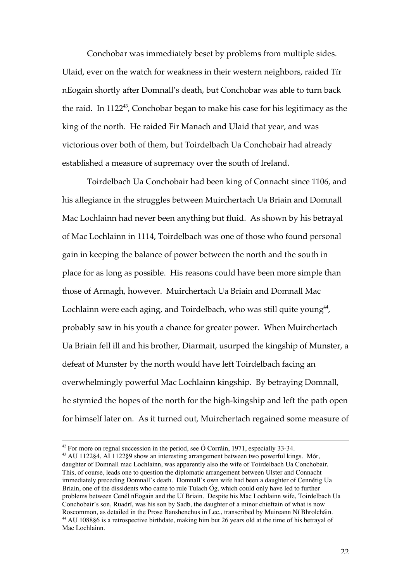Conchobar was immediately beset by problems from multiple sides. Ulaid, ever on the watch for weakness in their western neighbors, raided Tír nEogain shortly after Domnall's death, but Conchobar was able to turn back the raid. In 1122 $^{43}$ , Conchobar began to make his case for his legitimacy as the king of the north. He raided Fir Manach and Ulaid that year, and was victorious over both of them, but Toirdelbach Ua Conchobair had already established a measure of supremacy over the south of Ireland.

Toirdelbach Ua Conchobair had been king of Connacht since 1106, and his allegiance in the struggles between Muirchertach Ua Briain and Domnall Mac Lochlainn had never been anything but fluid. As shown by his betrayal of Mac Lochlainn in 1114, Toirdelbach was one of those who found personal gain in keeping the balance of power between the north and the south in place for as long as possible. His reasons could have been more simple than those of Armagh, however. Muirchertach Ua Briain and Domnall Mac Lochlainn were each aging, and Toirdelbach, who was still quite young $^{44}$ , probably saw in his youth a chance for greater power. When Muirchertach Ua Briain fell ill and his brother, Diarmait, usurped the kingship of Munster, a defeat of Munster by the north would have left Toirdelbach facing an overwhelmingly powerful Mac Lochlainn kingship. By betraying Domnall, he stymied the hopes of the north for the high-kingship and left the path open for himself later on. As it turned out, Muirchertach regained some measure of

 $42$  For more on regnal succession in the period, see Ó Corráin, 1971, especially 33-34.

<sup>&</sup>lt;sup>43</sup> AU 1122§4, AI 1122§9 show an interesting arrangement between two powerful kings. Mór, daughter of Domnall mac Lochlainn, was apparently also the wife of Toirdelbach Ua Conchobair. This, of course, leads one to question the diplomatic arrangement between Ulster and Connacht immediately preceding Domnall's death. Domnall's own wife had been a daughter of Cennétig Ua Briain, one of the dissidents who came to rule Tulach Óg, which could only have led to further problems between Cenél nEogain and the Uí Briain. Despite his Mac Lochlainn wife, Toirdelbach Ua Conchobair's son, Ruadrí, was his son by Sadb, the daughter of a minor chieftain of what is now Roscommon, as detailed in the Prose Banshenchus in Lec., transcribed by Muireann Ní Bhrolcháin. <sup>44</sup> AU 1088§6 is a retrospective birthdate, making him but 26 years old at the time of his betrayal of Mac Lochlainn.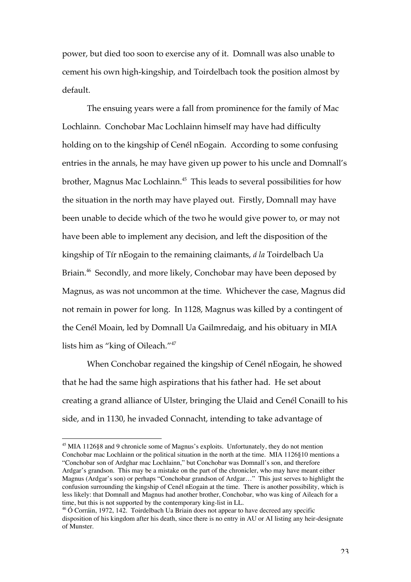power, but died too soon to exercise any of it. Domnall was also unable to cement his own high-kingship, and Toirdelbach took the position almost by default.

The ensuing years were a fall from prominence for the family of Mac Lochlainn. Conchobar Mac Lochlainn himself may have had difficulty holding on to the kingship of Cenél nEogain. According to some confusing entries in the annals, he may have given up power to his uncle and Domnall's brother, Magnus Mac Lochlainn. $^{45}$  This leads to several possibilities for how the situation in the north may have played out. Firstly, Domnall may have been unable to decide which of the two he would give power to, or may not have been able to implement any decision, and left the disposition of the kingship of Tír nEogain to the remaining claimants, *á la* Toirdelbach Ua Briain.<sup>46</sup> Secondly, and more likely, Conchobar may have been deposed by Magnus, as was not uncommon at the time. Whichever the case, Magnus did not remain in power for long. In 1128, Magnus was killed by a contingent of the Cenél Moain, led by Domnall Ua Gailmredaig, and his obituary in MIA lists him as "king of Oileach."<sup>47</sup>

When Conchobar regained the kingship of Cenél nEogain, he showed that he had the same high aspirations that his father had. He set about creating a grand alliance of Ulster, bringing the Ulaid and Cenél Conaill to his side, and in 1130, he invaded Connacht, intending to take advantage of

 <sup>45</sup> MIA 1126§8 and 9 chronicle some of Magnus's exploits. Unfortunately, they do not mention Conchobar mac Lochlainn or the political situation in the north at the time. MIA 1126§10 mentions a "Conchobar son of Ardghar mac Lochlainn," but Conchobar was Domnall's son, and therefore Ardgar's grandson. This may be a mistake on the part of the chronicler, who may have meant either Magnus (Ardgar's son) or perhaps "Conchobar grandson of Ardgar…" This just serves to highlight the confusion surrounding the kingship of Cenél nEogain at the time. There is another possibility, which is less likely: that Domnall and Magnus had another brother, Conchobar, who was king of Aileach for a time, but this is not supported by the contemporary king-list in LL.

<sup>&</sup>lt;sup>46</sup> Ó Corráin, 1972, 142. Toirdelbach Ua Briain does not appear to have decreed any specific disposition of his kingdom after his death, since there is no entry in AU or AI listing any heir-designate of Munster.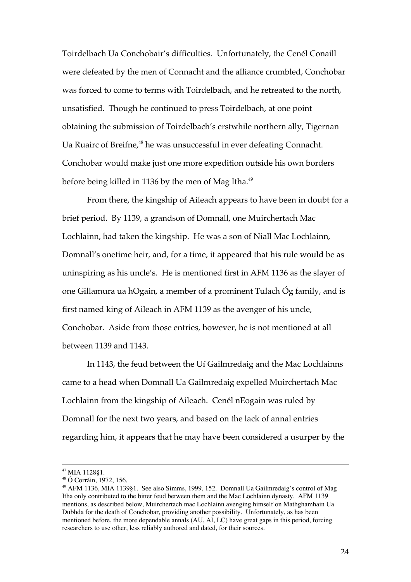Toirdelbach Ua Conchobair's difficulties. Unfortunately, the Cenél Conaill were defeated by the men of Connacht and the alliance crumbled, Conchobar was forced to come to terms with Toirdelbach, and he retreated to the north, unsatisfied. Though he continued to press Toirdelbach, at one point obtaining the submission of Toirdelbach's erstwhile northern ally, Tigernan Ua Ruairc of Breifne,<sup>48</sup> he was unsuccessful in ever defeating Connacht. Conchobar would make just one more expedition outside his own borders before being killed in 1136 by the men of Mag Itha.<sup>49</sup>

From there, the kingship of Aileach appears to have been in doubt for a brief period. By 1139, a grandson of Domnall, one Muirchertach Mac Lochlainn, had taken the kingship. He was a son of Niall Mac Lochlainn, Domnall's onetime heir, and, for a time, it appeared that his rule would be as uninspiring as his uncle's. He is mentioned first in AFM 1136 as the slayer of one Gillamura ua hOgain, a member of a prominent Tulach Óg family, and is first named king of Aileach in AFM 1139 as the avenger of his uncle, Conchobar. Aside from those entries, however, he is not mentioned at all between 1139 and 1143.

In 1143, the feud between the Uí Gailmredaig and the Mac Lochlainns came to a head when Domnall Ua Gailmredaig expelled Muirchertach Mac Lochlainn from the kingship of Aileach. Cenél nEogain was ruled by Domnall for the next two years, and based on the lack of annal entries regarding him, it appears that he may have been considered a usurper by the

 <sup>47</sup> MIA 1128§1.

<sup>48</sup> Ó Corráin, 1972, 156.

<sup>&</sup>lt;sup>49</sup> AFM 1136, MIA 1139§1. See also Simms, 1999, 152. Domnall Ua Gailmredaig's control of Mag Itha only contributed to the bitter feud between them and the Mac Lochlainn dynasty. AFM 1139 mentions, as described below, Muirchertach mac Lochlainn avenging himself on Mathghamhain Ua Dubhda for the death of Conchobar, providing another possibility. Unfortunately, as has been mentioned before, the more dependable annals (AU, AI, LC) have great gaps in this period, forcing researchers to use other, less reliably authored and dated, for their sources.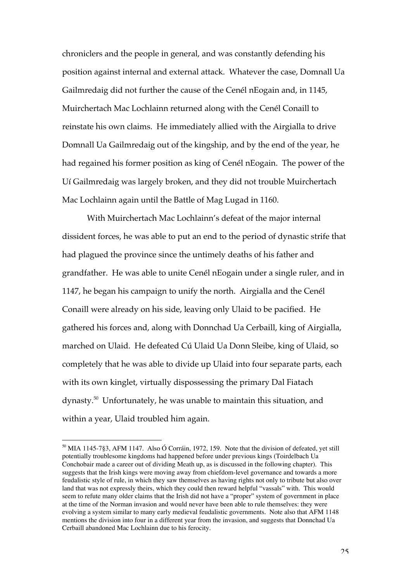chroniclers and the people in general, and was constantly defending his position against internal and external attack. Whatever the case, Domnall Ua Gailmredaig did not further the cause of the Cenél nEogain and, in 1145, Muirchertach Mac Lochlainn returned along with the Cenél Conaill to reinstate his own claims. He immediately allied with the Airgialla to drive Domnall Ua Gailmredaig out of the kingship, and by the end of the year, he had regained his former position as king of Cenél nEogain. The power of the Uí Gailmredaig was largely broken, and they did not trouble Muirchertach Mac Lochlainn again until the Battle of Mag Lugad in 1160.

With Muirchertach Mac Lochlainn's defeat of the major internal dissident forces, he was able to put an end to the period of dynastic strife that had plagued the province since the untimely deaths of his father and grandfather. He was able to unite Cenél nEogain under a single ruler, and in 1147, he began his campaign to unify the north. Airgialla and the Cenél Conaill were already on his side, leaving only Ulaid to be pacified. He gathered his forces and, along with Donnchad Ua Cerbaill, king of Airgialla, marched on Ulaid. He defeated Cú Ulaid Ua Donn Sleibe, king of Ulaid, so completely that he was able to divide up Ulaid into four separate parts, each with its own kinglet, virtually dispossessing the primary Dal Fiatach dynasty.<sup>50</sup> Unfortunately, he was unable to maintain this situation, and within a year, Ulaid troubled him again.

 <sup>50</sup> MIA 1145-7§3, AFM 1147. Also Ó Corráin, 1972, 159. Note that the division of defeated, yet still potentially troublesome kingdoms had happened before under previous kings (Toirdelbach Ua Conchobair made a career out of dividing Meath up, as is discussed in the following chapter). This suggests that the Irish kings were moving away from chiefdom-level governance and towards a more feudalistic style of rule, in which they saw themselves as having rights not only to tribute but also over land that was not expressly theirs, which they could then reward helpful "vassals" with. This would seem to refute many older claims that the Irish did not have a "proper" system of government in place at the time of the Norman invasion and would never have been able to rule themselves: they were evolving a system similar to many early medieval feudalistic governments. Note also that AFM 1148 mentions the division into four in a different year from the invasion, and suggests that Donnchad Ua Cerbaill abandoned Mac Lochlainn due to his ferocity.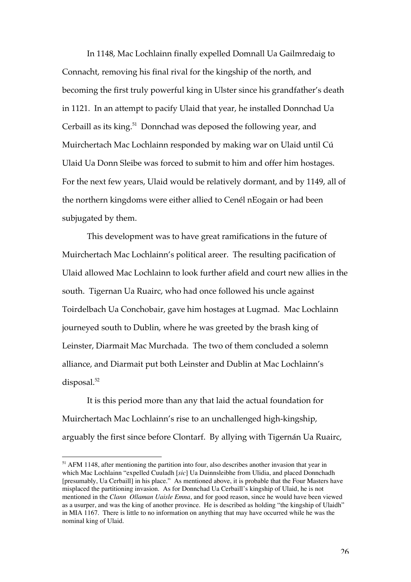In 1148, Mac Lochlainn finally expelled Domnall Ua Gailmredaig to Connacht, removing his final rival for the kingship of the north, and becoming the first truly powerful king in Ulster since his grandfather's death in 1121. In an attempt to pacify Ulaid that year, he installed Donnchad Ua Cerbaill as its king.<sup>51</sup> Donnchad was deposed the following year, and Muirchertach Mac Lochlainn responded by making war on Ulaid until Cú Ulaid Ua Donn Sleibe was forced to submit to him and offer him hostages. For the next few years, Ulaid would be relatively dormant, and by 1149, all of the northern kingdoms were either allied to Cenél nEogain or had been subjugated by them.

This development was to have great ramifications in the future of Muirchertach Mac Lochlainn's political areer. The resulting pacification of Ulaid allowed Mac Lochlainn to look further afield and court new allies in the south. Tigernan Ua Ruairc, who had once followed his uncle against Toirdelbach Ua Conchobair, gave him hostages at Lugmad. Mac Lochlainn journeyed south to Dublin, where he was greeted by the brash king of Leinster, Diarmait Mac Murchada. The two of them concluded a solemn alliance, and Diarmait put both Leinster and Dublin at Mac Lochlainn's disposal. $52$ 

It is this period more than any that laid the actual foundation for Muirchertach Mac Lochlainn's rise to an unchallenged high-kingship, arguably the first since before Clontarf. By allying with Tigernán Ua Ruairc,

<sup>&</sup>lt;sup>51</sup> AFM 1148, after mentioning the partition into four, also describes another invasion that year in which Mac Lochlainn "expelled Cuuladh [*sic*] Ua Duinnsleibhe from Ulidia, and placed Donnchadh [presumably, Ua Cerbaill] in his place." As mentioned above, it is probable that the Four Masters have misplaced the partitioning invasion. As for Donnchad Ua Cerbaill's kingship of Ulaid, he is not mentioned in the *Clann Ollaman Uaisle Emna*, and for good reason, since he would have been viewed as a usurper, and was the king of another province. He is described as holding "the kingship of Ulaidh" in MIA 1167. There is little to no information on anything that may have occurred while he was the nominal king of Ulaid.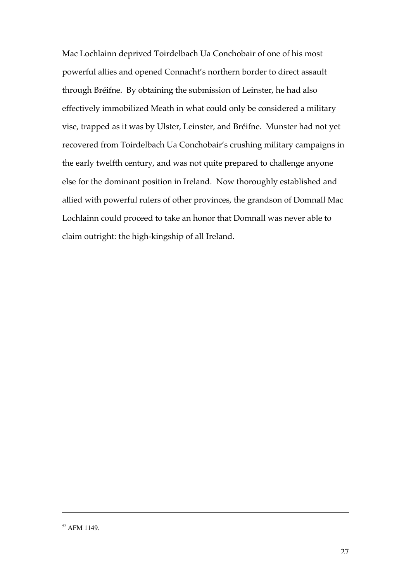Mac Lochlainn deprived Toirdelbach Ua Conchobair of one of his most powerful allies and opened Connacht's northern border to direct assault through Bréifne. By obtaining the submission of Leinster, he had also effectively immobilized Meath in what could only be considered a military vise, trapped as it was by Ulster, Leinster, and Bréifne. Munster had not yet recovered from Toirdelbach Ua Conchobair's crushing military campaigns in the early twelfth century, and was not quite prepared to challenge anyone else for the dominant position in Ireland. Now thoroughly established and allied with powerful rulers of other provinces, the grandson of Domnall Mac Lochlainn could proceed to take an honor that Domnall was never able to claim outright: the high-kingship of all Ireland.

 $\overline{a}$ 

<sup>52</sup> AFM 1149.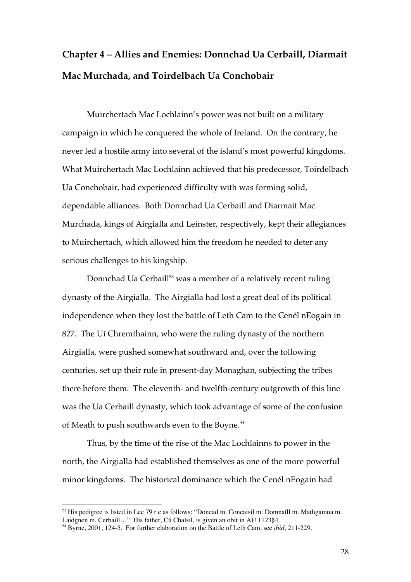## **Chapter 4 – Allies and Enemies: Donnchad Ua Cerbaill, Diarmait Mac Murchada, and Toirdelbach Ua Conchobair**

Muirchertach Mac Lochlainn's power was not built on a military campaign in which he conquered the whole of Ireland. On the contrary, he never led a hostile army into several of the island's most powerful kingdoms. What Muirchertach Mac Lochlainn achieved that his predecessor, Toirdelbach Ua Conchobair, had experienced difficulty with was forming solid, dependable alliances. Both Donnchad Ua Cerbaill and Diarmait Mac Murchada, kings of Airgialla and Leinster, respectively, kept their allegiances to Muirchertach, which allowed him the freedom he needed to deter any serious challenges to his kingship.

Donnchad Ua Cerbaill $^{\text{53}}$  was a member of a relatively recent ruling dynasty of the Airgialla. The Airgialla had lost a great deal of its political independence when they lost the battle of Leth Cam to the Cenél nEogain in 827. The Uí Chremthainn, who were the ruling dynasty of the northern Airgialla, were pushed somewhat southward and, over the following centuries, set up their rule in present-day Monaghan, subjecting the tribes there before them. The eleventh- and twelfth-century outgrowth of this line was the Ua Cerbaill dynasty, which took advantage of some of the confusion of Meath to push southwards even to the Boyne.<sup>54</sup>

Thus, by the time of the rise of the Mac Lochlainns to power in the north, the Airgialla had established themselves as one of the more powerful minor kingdoms. The historical dominance which the Cenél nEogain had

 <sup>53</sup> His pedigree is listed in Lec 79 r c as follows: "Doncad m. Concaisil m. Domnaíll m. Mathgamna m. Laidgnen m. Cerbaill…" His father, Cú Chaísil, is given an obit in AU 1123§4.

<sup>54</sup> Byrne, 2001, 124-5. For further elaboration on the Battle of Leth Cam, see *ibid*, 211-229.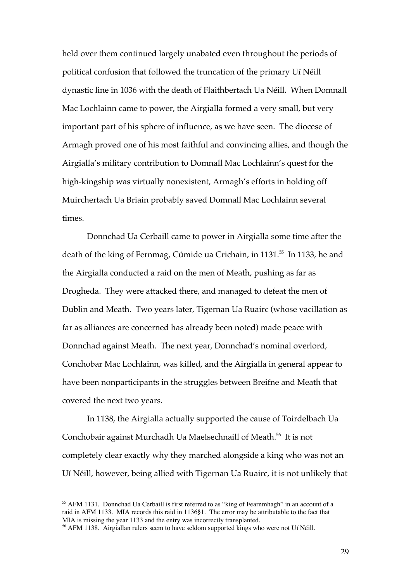held over them continued largely unabated even throughout the periods of political confusion that followed the truncation of the primary Uí Néill dynastic line in 1036 with the death of Flaithbertach Ua Néill. When Domnall Mac Lochlainn came to power, the Airgialla formed a very small, but very important part of his sphere of influence, as we have seen. The diocese of Armagh proved one of his most faithful and convincing allies, and though the Airgialla's military contribution to Domnall Mac Lochlainn's quest for the high-kingship was virtually nonexistent, Armagh's efforts in holding off Muirchertach Ua Briain probably saved Domnall Mac Lochlainn several times.

Donnchad Ua Cerbaill came to power in Airgialla some time after the death of the king of Fernmag, Cúmide ua Crichain, in 1131.<sup>55</sup> In 1133, he and the Airgialla conducted a raid on the men of Meath, pushing as far as Drogheda. They were attacked there, and managed to defeat the men of Dublin and Meath. Two years later, Tigernan Ua Ruairc (whose vacillation as far as alliances are concerned has already been noted) made peace with Donnchad against Meath. The next year, Donnchad's nominal overlord, Conchobar Mac Lochlainn, was killed, and the Airgialla in general appear to have been nonparticipants in the struggles between Breifne and Meath that covered the next two years.

In 1138, the Airgialla actually supported the cause of Toirdelbach Ua Conchobair against Murchadh Ua Maelsechnaill of Meath.<sup>56</sup> It is not completely clear exactly why they marched alongside a king who was not an Uí Néill, however, being allied with Tigernan Ua Ruairc, it is not unlikely that

 <sup>55</sup> AFM 1131. Donnchad Ua Cerbaill is first referred to as "king of Fearnmhagh" in an account of a raid in AFM 1133. MIA records this raid in 1136§1. The error may be attributable to the fact that MIA is missing the year 1133 and the entry was incorrectly transplanted.

<sup>&</sup>lt;sup>56</sup> AFM 1138. Airgiallan rulers seem to have seldom supported kings who were not Uí Néill.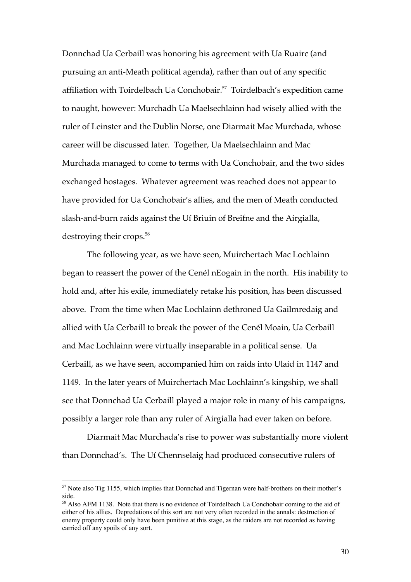Donnchad Ua Cerbaill was honoring his agreement with Ua Ruairc (and pursuing an anti-Meath political agenda), rather than out of any specific affiliation with Toirdelbach Ua Conchobair.<sup>57</sup> Toirdelbach's expedition came to naught, however: Murchadh Ua Maelsechlainn had wisely allied with the ruler of Leinster and the Dublin Norse, one Diarmait Mac Murchada, whose career will be discussed later. Together, Ua Maelsechlainn and Mac Murchada managed to come to terms with Ua Conchobair, and the two sides exchanged hostages. Whatever agreement was reached does not appear to have provided for Ua Conchobair's allies, and the men of Meath conducted slash-and-burn raids against the Uí Briuin of Breifne and the Airgialla, destroying their crops.<sup>58</sup>

The following year, as we have seen, Muirchertach Mac Lochlainn began to reassert the power of the Cenél nEogain in the north. His inability to hold and, after his exile, immediately retake his position, has been discussed above. From the time when Mac Lochlainn dethroned Ua Gailmredaig and allied with Ua Cerbaill to break the power of the Cenél Moain, Ua Cerbaill and Mac Lochlainn were virtually inseparable in a political sense. Ua Cerbaill, as we have seen, accompanied him on raids into Ulaid in 1147 and 1149. In the later years of Muirchertach Mac Lochlainn's kingship, we shall see that Donnchad Ua Cerbaill played a major role in many of his campaigns, possibly a larger role than any ruler of Airgialla had ever taken on before.

Diarmait Mac Murchada's rise to power was substantially more violent than Donnchad's. The Uí Chennselaig had produced consecutive rulers of

<sup>&</sup>lt;sup>57</sup> Note also Tig 1155, which implies that Donnchad and Tigernan were half-brothers on their mother's side.

<sup>&</sup>lt;sup>58</sup> Also AFM 1138. Note that there is no evidence of Toirdelbach Ua Conchobair coming to the aid of either of his allies. Depredations of this sort are not very often recorded in the annals: destruction of enemy property could only have been punitive at this stage, as the raiders are not recorded as having carried off any spoils of any sort.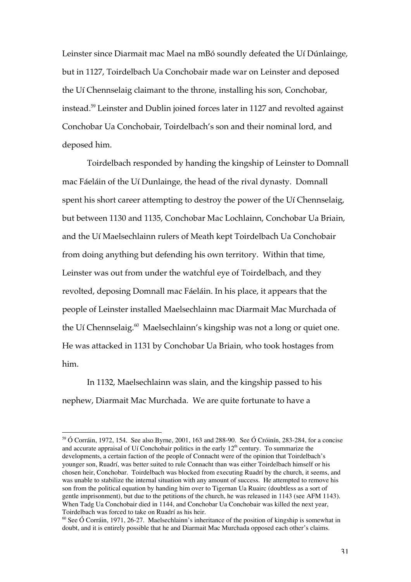Leinster since Diarmait mac Mael na mBó soundly defeated the Uí Dúnlainge, but in 1127, Toirdelbach Ua Conchobair made war on Leinster and deposed the Uí Chennselaig claimant to the throne, installing his son, Conchobar, instead.<sup>59</sup> Leinster and Dublin joined forces later in 1127 and revolted against Conchobar Ua Conchobair, Toirdelbach's son and their nominal lord, and deposed him.

Toirdelbach responded by handing the kingship of Leinster to Domnall mac Fáeláin of the Uí Dunlainge, the head of the rival dynasty. Domnall spent his short career attempting to destroy the power of the Uí Chennselaig, but between 1130 and 1135, Conchobar Mac Lochlainn, Conchobar Ua Briain, and the Uí Maelsechlainn rulers of Meath kept Toirdelbach Ua Conchobair from doing anything but defending his own territory. Within that time, Leinster was out from under the watchful eye of Toirdelbach, and they revolted, deposing Domnall mac Fáeláin. In his place, it appears that the people of Leinster installed Maelsechlainn mac Diarmait Mac Murchada of the Uí Chennselaig.<sup>60</sup> Maelsechlainn's kingship was not a long or quiet one. He was attacked in 1131 by Conchobar Ua Briain, who took hostages from him.

In 1132, Maelsechlainn was slain, and the kingship passed to his nephew, Diarmait Mac Murchada. We are quite fortunate to have a

 <sup>59</sup> Ó Corráin, 1972, 154. See also Byrne, 2001, 163 and 288-90. See Ó Cróinín, 283-284, for a concise and accurate appraisal of Uí Conchobair politics in the early  $12<sup>th</sup>$  century. To summarize the developments, a certain faction of the people of Connacht were of the opinion that Toirdelbach's younger son, Ruadrí, was better suited to rule Connacht than was either Toirdelbach himself or his chosen heir, Conchobar. Toirdelbach was blocked from executing Ruadrí by the church, it seems, and was unable to stabilize the internal situation with any amount of success. He attempted to remove his son from the political equation by handing him over to Tigernan Ua Ruairc (doubtless as a sort of gentle imprisonment), but due to the petitions of the church, he was released in 1143 (see AFM 1143). When Tadg Ua Conchobair died in 1144, and Conchobar Ua Conchobair was killed the next year, Toirdelbach was forced to take on Ruadrí as his heir.

 $60$  See Ó Corráin, 1971, 26-27. Maelsechlainn's inheritance of the position of kingship is somewhat in doubt, and it is entirely possible that he and Diarmait Mac Murchada opposed each other's claims.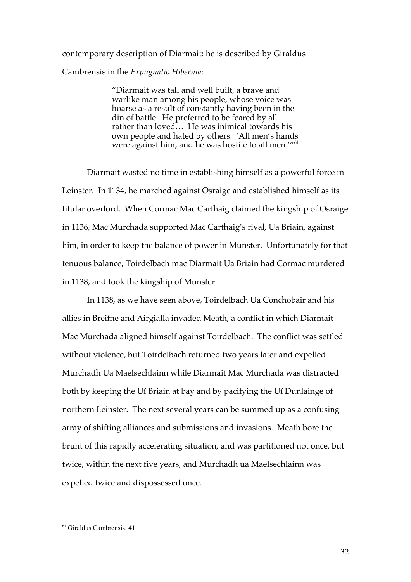contemporary description of Diarmait: he is described by Giraldus Cambrensis in the *Expugnatio Hibernia*:

> "Diarmait was tall and well built, a brave and warlike man among his people, whose voice was hoarse as a result of constantly having been in the din of battle. He preferred to be feared by all rather than loved… He was inimical towards his own people and hated by others. 'All men's hands were against him, and he was hostile to all men."<sup>61</sup>

Diarmait wasted no time in establishing himself as a powerful force in Leinster. In 1134, he marched against Osraige and established himself as its titular overlord. When Cormac Mac Carthaig claimed the kingship of Osraige in 1136, Mac Murchada supported Mac Carthaig's rival, Ua Briain, against him, in order to keep the balance of power in Munster. Unfortunately for that tenuous balance, Toirdelbach mac Diarmait Ua Briain had Cormac murdered in 1138, and took the kingship of Munster.

In 1138, as we have seen above, Toirdelbach Ua Conchobair and his allies in Breifne and Airgialla invaded Meath, a conflict in which Diarmait Mac Murchada aligned himself against Toirdelbach. The conflict was settled without violence, but Toirdelbach returned two years later and expelled Murchadh Ua Maelsechlainn while Diarmait Mac Murchada was distracted both by keeping the Uí Briain at bay and by pacifying the Uí Dunlainge of northern Leinster. The next several years can be summed up as a confusing array of shifting alliances and submissions and invasions. Meath bore the brunt of this rapidly accelerating situation, and was partitioned not once, but twice, within the next five years, and Murchadh ua Maelsechlainn was expelled twice and dispossessed once.

<sup>&</sup>lt;sup>61</sup> Giraldus Cambrensis, 41.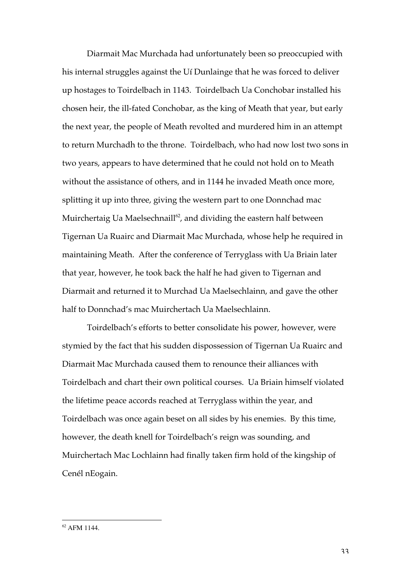Diarmait Mac Murchada had unfortunately been so preoccupied with his internal struggles against the Uí Dunlainge that he was forced to deliver up hostages to Toirdelbach in 1143. Toirdelbach Ua Conchobar installed his chosen heir, the ill-fated Conchobar, as the king of Meath that year, but early the next year, the people of Meath revolted and murdered him in an attempt to return Murchadh to the throne. Toirdelbach, who had now lost two sons in two years, appears to have determined that he could not hold on to Meath without the assistance of others, and in 1144 he invaded Meath once more, splitting it up into three, giving the western part to one Donnchad mac Muirchertaig Ua Maelsechnaill $^{\scriptscriptstyle (2)}$ , and dividing the eastern half between Tigernan Ua Ruairc and Diarmait Mac Murchada, whose help he required in maintaining Meath. After the conference of Terryglass with Ua Briain later that year, however, he took back the half he had given to Tigernan and Diarmait and returned it to Murchad Ua Maelsechlainn, and gave the other half to Donnchad's mac Muirchertach Ua Maelsechlainn.

Toirdelbach's efforts to better consolidate his power, however, were stymied by the fact that his sudden dispossession of Tigernan Ua Ruairc and Diarmait Mac Murchada caused them to renounce their alliances with Toirdelbach and chart their own political courses. Ua Briain himself violated the lifetime peace accords reached at Terryglass within the year, and Toirdelbach was once again beset on all sides by his enemies. By this time, however, the death knell for Toirdelbach's reign was sounding, and Muirchertach Mac Lochlainn had finally taken firm hold of the kingship of Cenél nEogain.

<sup>&</sup>lt;sup>62</sup> AFM 1144.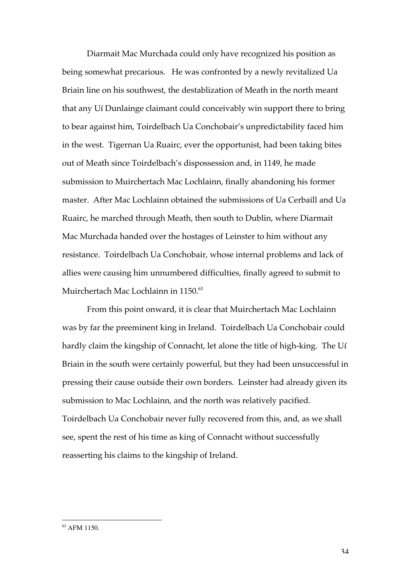Diarmait Mac Murchada could only have recognized his position as being somewhat precarious. He was confronted by a newly revitalized Ua Briain line on his southwest, the destablization of Meath in the north meant that any Uí Dunlainge claimant could conceivably win support there to bring to bear against him, Toirdelbach Ua Conchobair's unpredictability faced him in the west. Tigernan Ua Ruairc, ever the opportunist, had been taking bites out of Meath since Toirdelbach's dispossession and, in 1149, he made submission to Muirchertach Mac Lochlainn, finally abandoning his former master. After Mac Lochlainn obtained the submissions of Ua Cerbaill and Ua Ruairc, he marched through Meath, then south to Dublin, where Diarmait Mac Murchada handed over the hostages of Leinster to him without any resistance. Toirdelbach Ua Conchobair, whose internal problems and lack of allies were causing him unnumbered difficulties, finally agreed to submit to Muirchertach Mac Lochlainn in 1150.<sup>63</sup>

From this point onward, it is clear that Muirchertach Mac Lochlainn was by far the preeminent king in Ireland. Toirdelbach Ua Conchobair could hardly claim the kingship of Connacht, let alone the title of high-king. The Uí Briain in the south were certainly powerful, but they had been unsuccessful in pressing their cause outside their own borders. Leinster had already given its submission to Mac Lochlainn, and the north was relatively pacified. Toirdelbach Ua Conchobair never fully recovered from this, and, as we shall see, spent the rest of his time as king of Connacht without successfully reasserting his claims to the kingship of Ireland.

<sup>&</sup>lt;sup>63</sup> AFM 1150.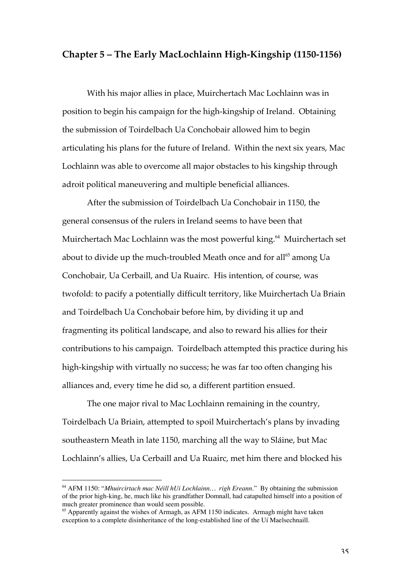#### **Chapter 5 – The Early MacLochlainn High-Kingship (1150-1156)**

With his major allies in place, Muirchertach Mac Lochlainn was in position to begin his campaign for the high-kingship of Ireland. Obtaining the submission of Toirdelbach Ua Conchobair allowed him to begin articulating his plans for the future of Ireland. Within the next six years, Mac Lochlainn was able to overcome all major obstacles to his kingship through adroit political maneuvering and multiple beneficial alliances.

After the submission of Toirdelbach Ua Conchobair in 1150, the general consensus of the rulers in Ireland seems to have been that Muirchertach Mac Lochlainn was the most powerful king.<sup>64</sup> Muirchertach set about to divide up the much-troubled Meath once and for all $\rm ^{65}$  among Ua Conchobair, Ua Cerbaill, and Ua Ruairc. His intention, of course, was twofold: to pacify a potentially difficult territory, like Muirchertach Ua Briain and Toirdelbach Ua Conchobair before him, by dividing it up and fragmenting its political landscape, and also to reward his allies for their contributions to his campaign. Toirdelbach attempted this practice during his high-kingship with virtually no success; he was far too often changing his alliances and, every time he did so, a different partition ensued.

The one major rival to Mac Lochlainn remaining in the country, Toirdelbach Ua Briain, attempted to spoil Muirchertach's plans by invading southeastern Meath in late 1150, marching all the way to Sláine, but Mac Lochlainn's allies, Ua Cerbaill and Ua Ruairc, met him there and blocked his

 <sup>64</sup> AFM 1150: "*Mhuircirtach mac Néill hUi Lochlainn… righ Ereann.*" By obtaining the submission of the prior high-king, he, much like his grandfather Domnall, had catapulted himself into a position of much greater prominence than would seem possible.

<sup>&</sup>lt;sup>65</sup> Apparently against the wishes of Armagh, as AFM 1150 indicates. Armagh might have taken exception to a complete disinheritance of the long-established line of the Uí Maelsechnaill.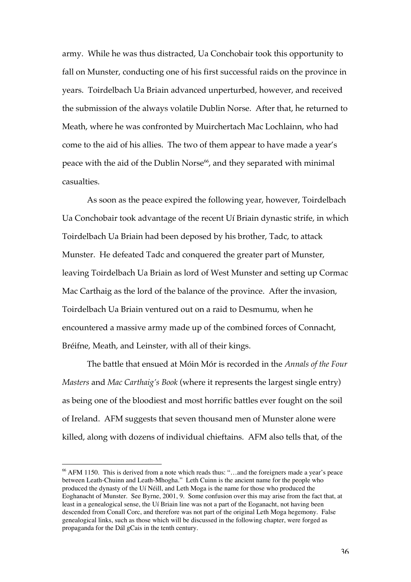army. While he was thus distracted, Ua Conchobair took this opportunity to fall on Munster, conducting one of his first successful raids on the province in years. Toirdelbach Ua Briain advanced unperturbed, however, and received the submission of the always volatile Dublin Norse. After that, he returned to Meath, where he was confronted by Muirchertach Mac Lochlainn, who had come to the aid of his allies. The two of them appear to have made a year's peace with the aid of the Dublin Norse $^{66}$ , and they separated with minimal casualties.

As soon as the peace expired the following year, however, Toirdelbach Ua Conchobair took advantage of the recent Uí Briain dynastic strife, in which Toirdelbach Ua Briain had been deposed by his brother, Tadc, to attack Munster. He defeated Tadc and conquered the greater part of Munster, leaving Toirdelbach Ua Briain as lord of West Munster and setting up Cormac Mac Carthaig as the lord of the balance of the province. After the invasion, Toirdelbach Ua Briain ventured out on a raid to Desmumu, when he encountered a massive army made up of the combined forces of Connacht, Bréifne, Meath, and Leinster, with all of their kings.

The battle that ensued at Móin Mór is recorded in the *Annals of the Four Masters* and *Mac Carthaig's Book* (where it represents the largest single entry) as being one of the bloodiest and most horrific battles ever fought on the soil of Ireland. AFM suggests that seven thousand men of Munster alone were killed, along with dozens of individual chieftains. AFM also tells that, of the

 <sup>66</sup> AFM 1150. This is derived from a note which reads thus: "…and the foreigners made a year's peace between Leath-Chuinn and Leath-Mhogha." Leth Cuinn is the ancient name for the people who produced the dynasty of the Uí Néill, and Leth Moga is the name for those who produced the Eoghanacht of Munster. See Byrne, 2001, 9. Some confusion over this may arise from the fact that, at least in a genealogical sense, the Uí Briain line was not a part of the Eoganacht, not having been descended from Conall Corc, and therefore was not part of the original Leth Moga hegemony. False genealogical links, such as those which will be discussed in the following chapter, were forged as propaganda for the Dál gCais in the tenth century.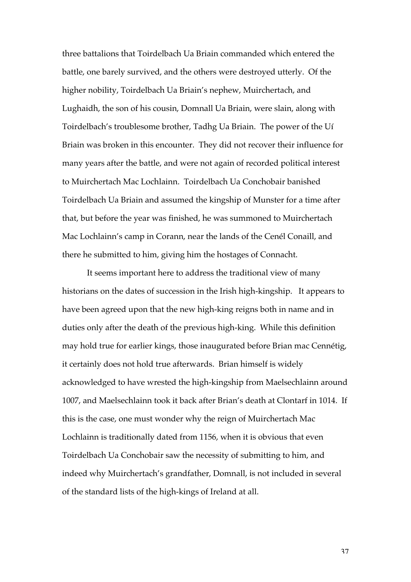three battalions that Toirdelbach Ua Briain commanded which entered the battle, one barely survived, and the others were destroyed utterly. Of the higher nobility, Toirdelbach Ua Briain's nephew, Muirchertach, and Lughaidh, the son of his cousin, Domnall Ua Briain, were slain, along with Toirdelbach's troublesome brother, Tadhg Ua Briain. The power of the Uí Briain was broken in this encounter. They did not recover their influence for many years after the battle, and were not again of recorded political interest to Muirchertach Mac Lochlainn. Toirdelbach Ua Conchobair banished Toirdelbach Ua Briain and assumed the kingship of Munster for a time after that, but before the year was finished, he was summoned to Muirchertach Mac Lochlainn's camp in Corann, near the lands of the Cenél Conaill, and there he submitted to him, giving him the hostages of Connacht.

It seems important here to address the traditional view of many historians on the dates of succession in the Irish high-kingship. It appears to have been agreed upon that the new high-king reigns both in name and in duties only after the death of the previous high-king. While this definition may hold true for earlier kings, those inaugurated before Brian mac Cennétig, it certainly does not hold true afterwards. Brian himself is widely acknowledged to have wrested the high-kingship from Maelsechlainn around 1007, and Maelsechlainn took it back after Brian's death at Clontarf in 1014. If this is the case, one must wonder why the reign of Muirchertach Mac Lochlainn is traditionally dated from 1156, when it is obvious that even Toirdelbach Ua Conchobair saw the necessity of submitting to him, and indeed why Muirchertach's grandfather, Domnall, is not included in several of the standard lists of the high-kings of Ireland at all.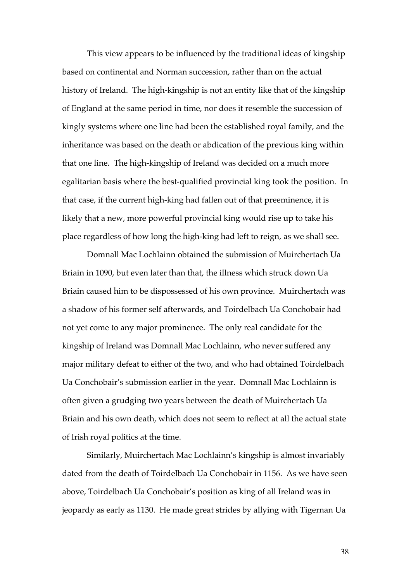This view appears to be influenced by the traditional ideas of kingship based on continental and Norman succession, rather than on the actual history of Ireland. The high-kingship is not an entity like that of the kingship of England at the same period in time, nor does it resemble the succession of kingly systems where one line had been the established royal family, and the inheritance was based on the death or abdication of the previous king within that one line. The high-kingship of Ireland was decided on a much more egalitarian basis where the best-qualified provincial king took the position. In that case, if the current high-king had fallen out of that preeminence, it is likely that a new, more powerful provincial king would rise up to take his place regardless of how long the high-king had left to reign, as we shall see.

Domnall Mac Lochlainn obtained the submission of Muirchertach Ua Briain in 1090, but even later than that, the illness which struck down Ua Briain caused him to be dispossessed of his own province. Muirchertach was a shadow of his former self afterwards, and Toirdelbach Ua Conchobair had not yet come to any major prominence. The only real candidate for the kingship of Ireland was Domnall Mac Lochlainn, who never suffered any major military defeat to either of the two, and who had obtained Toirdelbach Ua Conchobair's submission earlier in the year. Domnall Mac Lochlainn is often given a grudging two years between the death of Muirchertach Ua Briain and his own death, which does not seem to reflect at all the actual state of Irish royal politics at the time.

Similarly, Muirchertach Mac Lochlainn's kingship is almost invariably dated from the death of Toirdelbach Ua Conchobair in 1156. As we have seen above, Toirdelbach Ua Conchobair's position as king of all Ireland was in jeopardy as early as 1130. He made great strides by allying with Tigernan Ua

38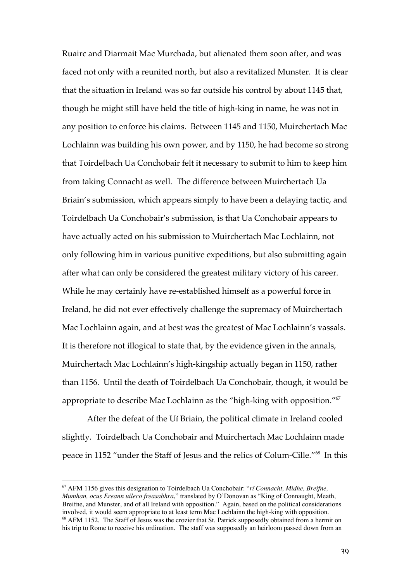Ruairc and Diarmait Mac Murchada, but alienated them soon after, and was faced not only with a reunited north, but also a revitalized Munster. It is clear that the situation in Ireland was so far outside his control by about 1145 that, though he might still have held the title of high-king in name, he was not in any position to enforce his claims. Between 1145 and 1150, Muirchertach Mac Lochlainn was building his own power, and by 1150, he had become so strong that Toirdelbach Ua Conchobair felt it necessary to submit to him to keep him from taking Connacht as well. The difference between Muirchertach Ua Briain's submission, which appears simply to have been a delaying tactic, and Toirdelbach Ua Conchobair's submission, is that Ua Conchobair appears to have actually acted on his submission to Muirchertach Mac Lochlainn, not only following him in various punitive expeditions, but also submitting again after what can only be considered the greatest military victory of his career. While he may certainly have re-established himself as a powerful force in Ireland, he did not ever effectively challenge the supremacy of Muirchertach Mac Lochlainn again, and at best was the greatest of Mac Lochlainn's vassals. It is therefore not illogical to state that, by the evidence given in the annals, Muirchertach Mac Lochlainn's high-kingship actually began in 1150, rather than 1156. Until the death of Toirdelbach Ua Conchobair, though, it would be appropriate to describe Mac Lochlainn as the "high-king with opposition."67

After the defeat of the Uí Briain, the political climate in Ireland cooled slightly. Toirdelbach Ua Conchobair and Muirchertach Mac Lochlainn made peace in 1152 "under the Staff of Jesus and the relics of Colum-Cille."<sup>68</sup> In this

 <sup>67</sup> AFM 1156 gives this designation to Toirdelbach Ua Conchobair: "*rí Connacht, Midhe, Breifne, Mumhan, ocus Ereann uileco freasabhra*," translated by O'Donovan as "King of Connaught, Meath, Breifne, and Munster, and of all Ireland with opposition." Again, based on the political considerations involved, it would seem appropriate to at least term Mac Lochlainn the high-king with opposition. <sup>68</sup> AFM 1152. The Staff of Jesus was the crozier that St. Patrick supposedly obtained from a hermit on his trip to Rome to receive his ordination. The staff was supposedly an heirloom passed down from an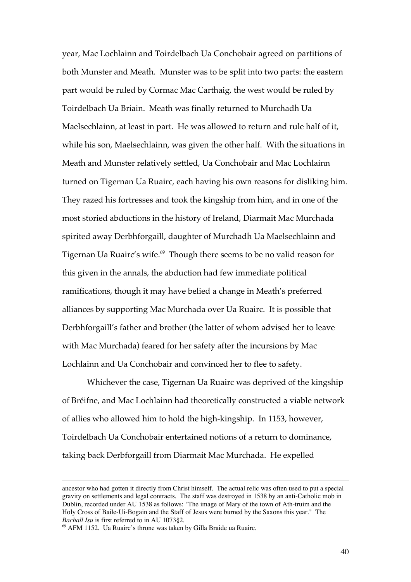year, Mac Lochlainn and Toirdelbach Ua Conchobair agreed on partitions of both Munster and Meath. Munster was to be split into two parts: the eastern part would be ruled by Cormac Mac Carthaig, the west would be ruled by Toirdelbach Ua Briain. Meath was finally returned to Murchadh Ua Maelsechlainn, at least in part. He was allowed to return and rule half of it, while his son, Maelsechlainn, was given the other half. With the situations in Meath and Munster relatively settled, Ua Conchobair and Mac Lochlainn turned on Tigernan Ua Ruairc, each having his own reasons for disliking him. They razed his fortresses and took the kingship from him, and in one of the most storied abductions in the history of Ireland, Diarmait Mac Murchada spirited away Derbhforgaill, daughter of Murchadh Ua Maelsechlainn and Tigernan Ua Ruairc's wife. $^\text{\tiny 69}$  Though there seems to be no valid reason for this given in the annals, the abduction had few immediate political ramifications, though it may have belied a change in Meath's preferred alliances by supporting Mac Murchada over Ua Ruairc. It is possible that Derbhforgaill's father and brother (the latter of whom advised her to leave with Mac Murchada) feared for her safety after the incursions by Mac Lochlainn and Ua Conchobair and convinced her to flee to safety.

Whichever the case, Tigernan Ua Ruairc was deprived of the kingship of Bréifne, and Mac Lochlainn had theoretically constructed a viable network of allies who allowed him to hold the high-kingship. In 1153, however, Toirdelbach Ua Conchobair entertained notions of a return to dominance, taking back Derbforgaill from Diarmait Mac Murchada. He expelled

 $\overline{a}$ 

ancestor who had gotten it directly from Christ himself. The actual relic was often used to put a special gravity on settlements and legal contracts. The staff was destroyed in 1538 by an anti-Catholic mob in Dublin, recorded under AU 1538 as follows: "The image of Mary of the town of Ath-truim and the Holy Cross of Baile-Ui-Bogain and the Staff of Jesus were burned by the Saxons this year." The *Bachall Isu* is first referred to in AU 1073§2.

<sup>&</sup>lt;sup>69</sup> AFM 1152. Ua Ruairc's throne was taken by Gilla Braide ua Ruairc.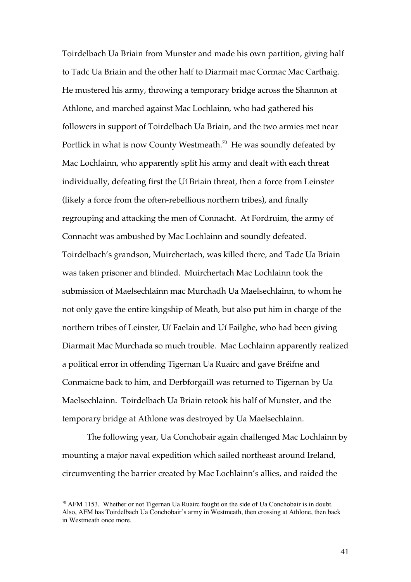Toirdelbach Ua Briain from Munster and made his own partition, giving half to Tadc Ua Briain and the other half to Diarmait mac Cormac Mac Carthaig. He mustered his army, throwing a temporary bridge across the Shannon at Athlone, and marched against Mac Lochlainn, who had gathered his followers in support of Toirdelbach Ua Briain, and the two armies met near Portlick in what is now County Westmeath. $^{70}$  He was soundly defeated by Mac Lochlainn, who apparently split his army and dealt with each threat individually, defeating first the Uí Briain threat, then a force from Leinster (likely a force from the often-rebellious northern tribes), and finally regrouping and attacking the men of Connacht. At Fordruim, the army of Connacht was ambushed by Mac Lochlainn and soundly defeated. Toirdelbach's grandson, Muirchertach, was killed there, and Tadc Ua Briain was taken prisoner and blinded. Muirchertach Mac Lochlainn took the submission of Maelsechlainn mac Murchadh Ua Maelsechlainn, to whom he not only gave the entire kingship of Meath, but also put him in charge of the northern tribes of Leinster, Uí Faelain and Uí Failghe, who had been giving Diarmait Mac Murchada so much trouble. Mac Lochlainn apparently realized a political error in offending Tigernan Ua Ruairc and gave Bréifne and Conmaicne back to him, and Derbforgaill was returned to Tigernan by Ua Maelsechlainn. Toirdelbach Ua Briain retook his half of Munster, and the temporary bridge at Athlone was destroyed by Ua Maelsechlainn.

The following year, Ua Conchobair again challenged Mac Lochlainn by mounting a major naval expedition which sailed northeast around Ireland, circumventing the barrier created by Mac Lochlainn's allies, and raided the

<sup>&</sup>lt;sup>70</sup> AFM 1153. Whether or not Tigernan Ua Ruairc fought on the side of Ua Conchobair is in doubt. Also, AFM has Toirdelbach Ua Conchobair's army in Westmeath, then crossing at Athlone, then back in Westmeath once more.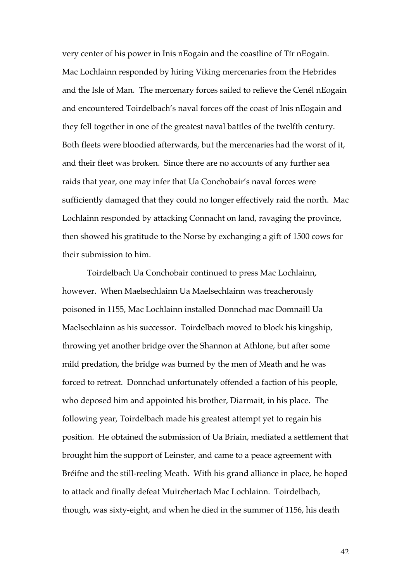very center of his power in Inis nEogain and the coastline of Tír nEogain. Mac Lochlainn responded by hiring Viking mercenaries from the Hebrides and the Isle of Man. The mercenary forces sailed to relieve the Cenél nEogain and encountered Toirdelbach's naval forces off the coast of Inis nEogain and they fell together in one of the greatest naval battles of the twelfth century. Both fleets were bloodied afterwards, but the mercenaries had the worst of it, and their fleet was broken. Since there are no accounts of any further sea raids that year, one may infer that Ua Conchobair's naval forces were sufficiently damaged that they could no longer effectively raid the north. Mac Lochlainn responded by attacking Connacht on land, ravaging the province, then showed his gratitude to the Norse by exchanging a gift of 1500 cows for their submission to him.

Toirdelbach Ua Conchobair continued to press Mac Lochlainn, however. When Maelsechlainn Ua Maelsechlainn was treacherously poisoned in 1155, Mac Lochlainn installed Donnchad mac Domnaill Ua Maelsechlainn as his successor. Toirdelbach moved to block his kingship, throwing yet another bridge over the Shannon at Athlone, but after some mild predation, the bridge was burned by the men of Meath and he was forced to retreat. Donnchad unfortunately offended a faction of his people, who deposed him and appointed his brother, Diarmait, in his place. The following year, Toirdelbach made his greatest attempt yet to regain his position. He obtained the submission of Ua Briain, mediated a settlement that brought him the support of Leinster, and came to a peace agreement with Bréifne and the still-reeling Meath. With his grand alliance in place, he hoped to attack and finally defeat Muirchertach Mac Lochlainn. Toirdelbach, though, was sixty-eight, and when he died in the summer of 1156, his death

 $42$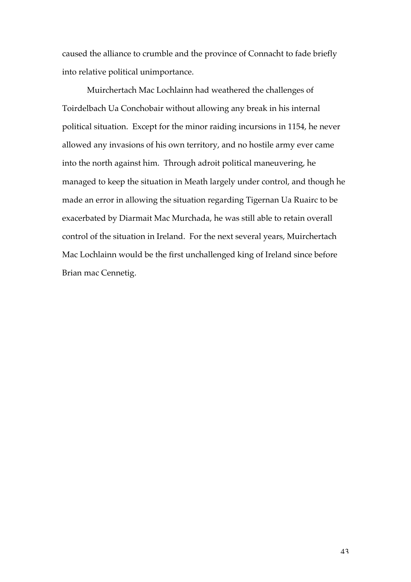caused the alliance to crumble and the province of Connacht to fade briefly into relative political unimportance.

Muirchertach Mac Lochlainn had weathered the challenges of Toirdelbach Ua Conchobair without allowing any break in his internal political situation. Except for the minor raiding incursions in 1154, he never allowed any invasions of his own territory, and no hostile army ever came into the north against him. Through adroit political maneuvering, he managed to keep the situation in Meath largely under control, and though he made an error in allowing the situation regarding Tigernan Ua Ruairc to be exacerbated by Diarmait Mac Murchada, he was still able to retain overall control of the situation in Ireland. For the next several years, Muirchertach Mac Lochlainn would be the first unchallenged king of Ireland since before Brian mac Cennetig.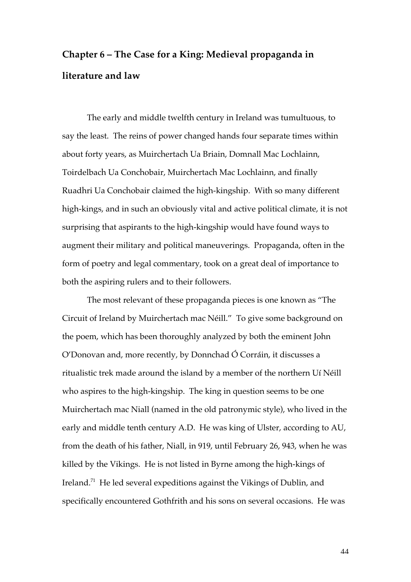# **Chapter 6 – The Case for a King: Medieval propaganda in literature and law**

The early and middle twelfth century in Ireland was tumultuous, to say the least. The reins of power changed hands four separate times within about forty years, as Muirchertach Ua Briain, Domnall Mac Lochlainn, Toirdelbach Ua Conchobair, Muirchertach Mac Lochlainn, and finally Ruadhri Ua Conchobair claimed the high-kingship. With so many different high-kings, and in such an obviously vital and active political climate, it is not surprising that aspirants to the high-kingship would have found ways to augment their military and political maneuverings. Propaganda, often in the form of poetry and legal commentary, took on a great deal of importance to both the aspiring rulers and to their followers.

The most relevant of these propaganda pieces is one known as "The Circuit of Ireland by Muirchertach mac Néill." To give some background on the poem, which has been thoroughly analyzed by both the eminent John O'Donovan and, more recently, by Donnchad Ó Corráin, it discusses a ritualistic trek made around the island by a member of the northern Uí Néill who aspires to the high-kingship. The king in question seems to be one Muirchertach mac Niall (named in the old patronymic style), who lived in the early and middle tenth century A.D. He was king of Ulster, according to AU, from the death of his father, Niall, in 919, until February 26, 943, when he was killed by the Vikings. He is not listed in Byrne among the high-kings of Ireland.<sup>71</sup> He led several expeditions against the Vikings of Dublin, and specifically encountered Gothfrith and his sons on several occasions. He was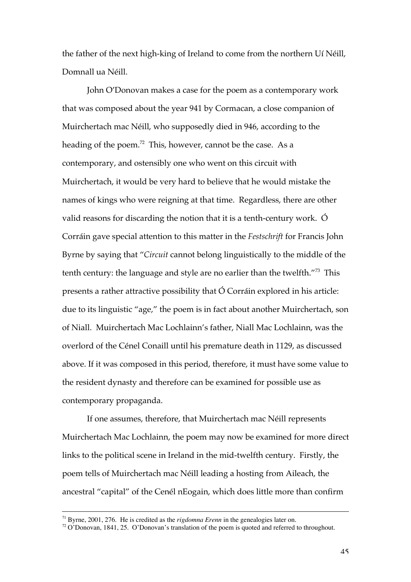the father of the next high-king of Ireland to come from the northern Uí Néill, Domnall ua Néill.

John O'Donovan makes a case for the poem as a contemporary work that was composed about the year 941 by Cormacan, a close companion of Muirchertach mac Néill, who supposedly died in 946, according to the heading of the poem.<sup>72</sup> This, however, cannot be the case. As a contemporary, and ostensibly one who went on this circuit with Muirchertach, it would be very hard to believe that he would mistake the names of kings who were reigning at that time. Regardless, there are other valid reasons for discarding the notion that it is a tenth-century work. Ó Corráin gave special attention to this matter in the *Festschrift* for Francis John Byrne by saying that "*Circuit* cannot belong linguistically to the middle of the tenth century: the language and style are no earlier than the twelfth."<sup>73</sup> This presents a rather attractive possibility that Ó Corráin explored in his article: due to its linguistic "age," the poem is in fact about another Muirchertach, son of Niall. Muirchertach Mac Lochlainn's father, Niall Mac Lochlainn, was the overlord of the Cénel Conaill until his premature death in 1129, as discussed above. If it was composed in this period, therefore, it must have some value to the resident dynasty and therefore can be examined for possible use as contemporary propaganda.

If one assumes, therefore, that Muirchertach mac Néill represents Muirchertach Mac Lochlainn, the poem may now be examined for more direct links to the political scene in Ireland in the mid-twelfth century. Firstly, the poem tells of Muirchertach mac Néill leading a hosting from Aileach, the ancestral "capital" of the Cenél nEogain, which does little more than confirm

 <sup>71</sup> Byrne, 2001, 276. He is credited as the *rigdomna Erenn* in the genealogies later on.

 $72$  O'Donovan, 1841, 25. O'Donovan's translation of the poem is quoted and referred to throughout.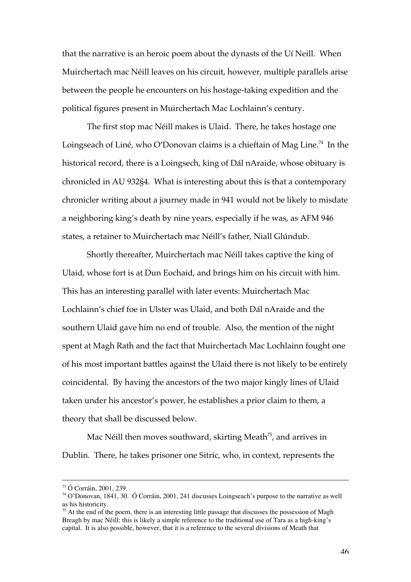that the narrative is an heroic poem about the dynasts of the Uí Neill. When Muirchertach mac Néill leaves on his circuit, however, multiple parallels arise between the people he encounters on his hostage-taking expedition and the political figures present in Muirchertach Mac Lochlainn's century.

The first stop mac Néill makes is Ulaid. There, he takes hostage one Loingseach of Liné, who O'Donovan claims is a chieftain of Mag Line.<sup>74</sup> In the historical record, there is a Loingsech, king of Dál nAraide, whose obituary is chronicled in AU 932§4. What is interesting about this is that a contemporary chronicler writing about a journey made in 941 would not be likely to misdate a neighboring king's death by nine years, especially if he was, as AFM 946 states, a retainer to Muirchertach mac Néill's father, Niall Glúndub.

Shortly thereafter, Muirchertach mac Néill takes captive the king of Ulaid, whose fort is at Dun Eochaid, and brings him on his circuit with him. This has an interesting parallel with later events: Muirchertach Mac Lochlainn's chief foe in Ulster was Ulaid, and both Dál nAraide and the southern Ulaid gave him no end of trouble. Also, the mention of the night spent at Magh Rath and the fact that Muirchertach Mac Lochlainn fought one of his most important battles against the Ulaid there is not likely to be entirely coincidental. By having the ancestors of the two major kingly lines of Ulaid taken under his ancestor's power, he establishes a prior claim to them, a theory that shall be discussed below.

Mac Néill then moves southward, skirting Meath $^{75}$ , and arrives in Dublin. There, he takes prisoner one Sitric, who, in context, represents the

 <sup>73</sup> Ó Corráin, 2001, 239.

<sup>74</sup> O'Donovan, 1841, 30. Ó Corráin, 2001, 241 discusses Loingseach's purpose to the narrative as well as his historicity.

<sup>&</sup>lt;sup>75</sup> At the end of the poem, there is an interesting little passage that discusses the possession of Magh Breagh by mac Néill: this is likely a simple reference to the traditional use of Tara as a high-king's capital. It is also possible, however, that it is a reference to the several divisions of Meath that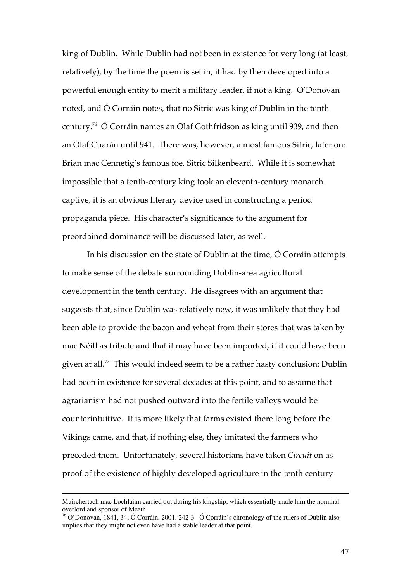king of Dublin. While Dublin had not been in existence for very long (at least, relatively), by the time the poem is set in, it had by then developed into a powerful enough entity to merit a military leader, if not a king. O'Donovan noted, and Ó Corráin notes, that no Sitric was king of Dublin in the tenth century.<sup>76</sup> Ó Corráin names an Olaf Gothfridson as king until 939, and then an Olaf Cuarán until 941. There was, however, a most famous Sitric, later on: Brian mac Cennetig's famous foe, Sitric Silkenbeard. While it is somewhat impossible that a tenth-century king took an eleventh-century monarch captive, it is an obvious literary device used in constructing a period propaganda piece. His character's significance to the argument for preordained dominance will be discussed later, as well.

In his discussion on the state of Dublin at the time, Ó Corráin attempts to make sense of the debate surrounding Dublin-area agricultural development in the tenth century. He disagrees with an argument that suggests that, since Dublin was relatively new, it was unlikely that they had been able to provide the bacon and wheat from their stores that was taken by mac Néill as tribute and that it may have been imported, if it could have been given at all. $^{\prime\prime}$  This would indeed seem to be a rather hasty conclusion: Dublin had been in existence for several decades at this point, and to assume that agrarianism had not pushed outward into the fertile valleys would be counterintuitive. It is more likely that farms existed there long before the Vikings came, and that, if nothing else, they imitated the farmers who preceded them. Unfortunately, several historians have taken *Circuit* on as proof of the existence of highly developed agriculture in the tenth century

 $\overline{a}$ 

Muirchertach mac Lochlainn carried out during his kingship, which essentially made him the nominal overlord and sponsor of Meath.

<sup>76</sup> O'Donovan, 1841, 34; Ó Corráin, 2001, 242-3. Ó Corráin's chronology of the rulers of Dublin also implies that they might not even have had a stable leader at that point.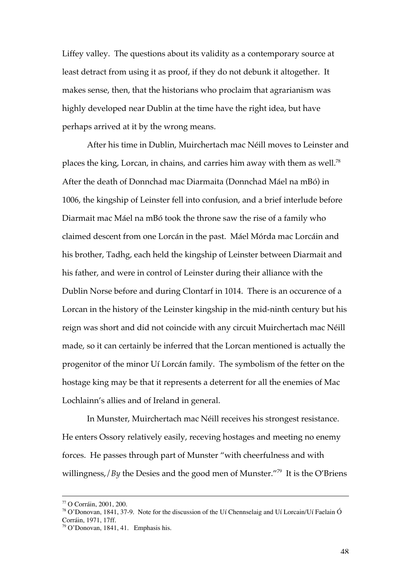Liffey valley. The questions about its validity as a contemporary source at least detract from using it as proof, if they do not debunk it altogether. It makes sense, then, that the historians who proclaim that agrarianism was highly developed near Dublin at the time have the right idea, but have perhaps arrived at it by the wrong means.

After his time in Dublin, Muirchertach mac Néill moves to Leinster and places the king, Lorcan, in chains, and carries him away with them as well.<sup>78</sup> After the death of Donnchad mac Diarmaita (Donnchad Máel na mBó) in 1006, the kingship of Leinster fell into confusion, and a brief interlude before Diarmait mac Máel na mBó took the throne saw the rise of a family who claimed descent from one Lorcán in the past. Máel Mórda mac Lorcáin and his brother, Tadhg, each held the kingship of Leinster between Diarmait and his father, and were in control of Leinster during their alliance with the Dublin Norse before and during Clontarf in 1014. There is an occurence of a Lorcan in the history of the Leinster kingship in the mid-ninth century but his reign was short and did not coincide with any circuit Muirchertach mac Néill made, so it can certainly be inferred that the Lorcan mentioned is actually the progenitor of the minor Uí Lorcán family. The symbolism of the fetter on the hostage king may be that it represents a deterrent for all the enemies of Mac Lochlainn's allies and of Ireland in general.

In Munster, Muirchertach mac Néill receives his strongest resistance. He enters Ossory relatively easily, receving hostages and meeting no enemy forces. He passes through part of Munster "with cheerfulness and with willingness,/*By* the Desies and the good men of Munster."<sup>79</sup> It is the O'Briens

 <sup>77</sup> O Corráin, 2001, 200.

<sup>&</sup>lt;sup>78</sup> O'Donovan, 1841, 37-9. Note for the discussion of the Uí Chennselaig and Uí Lorcain/Uí Faelain Ó Corráin, 1971, 17ff.

<sup>79</sup> O'Donovan, 1841, 41. Emphasis his.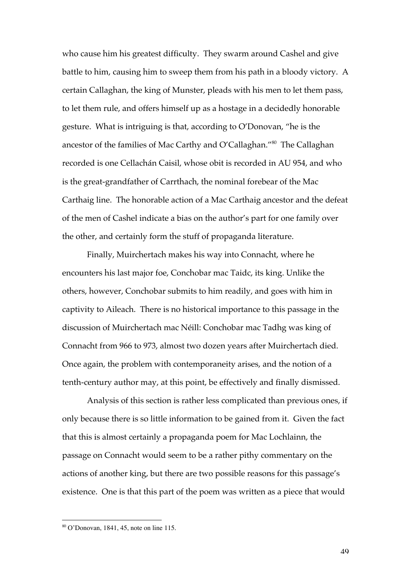who cause him his greatest difficulty. They swarm around Cashel and give battle to him, causing him to sweep them from his path in a bloody victory. A certain Callaghan, the king of Munster, pleads with his men to let them pass, to let them rule, and offers himself up as a hostage in a decidedly honorable gesture. What is intriguing is that, according to O'Donovan, "he is the ancestor of the families of Mac Carthy and O'Callaghan."<sup>80</sup> The Callaghan recorded is one Cellachán Caisil, whose obit is recorded in AU 954, and who is the great-grandfather of Carrthach, the nominal forebear of the Mac Carthaig line. The honorable action of a Mac Carthaig ancestor and the defeat of the men of Cashel indicate a bias on the author's part for one family over the other, and certainly form the stuff of propaganda literature.

Finally, Muirchertach makes his way into Connacht, where he encounters his last major foe, Conchobar mac Taidc, its king. Unlike the others, however, Conchobar submits to him readily, and goes with him in captivity to Aileach. There is no historical importance to this passage in the discussion of Muirchertach mac Néill: Conchobar mac Tadhg was king of Connacht from 966 to 973, almost two dozen years after Muirchertach died. Once again, the problem with contemporaneity arises, and the notion of a tenth-century author may, at this point, be effectively and finally dismissed.

Analysis of this section is rather less complicated than previous ones, if only because there is so little information to be gained from it. Given the fact that this is almost certainly a propaganda poem for Mac Lochlainn, the passage on Connacht would seem to be a rather pithy commentary on the actions of another king, but there are two possible reasons for this passage's existence. One is that this part of the poem was written as a piece that would

 <sup>80</sup> O'Donovan, 1841, 45, note on line 115.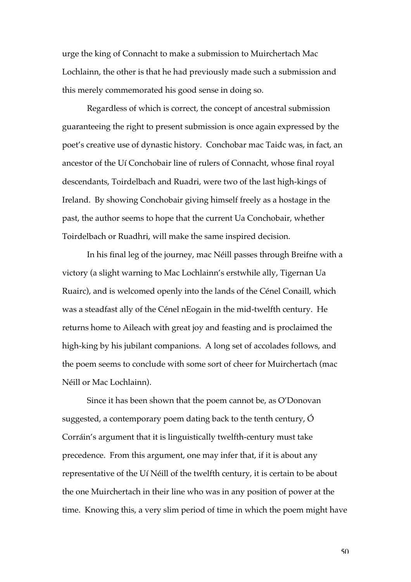urge the king of Connacht to make a submission to Muirchertach Mac Lochlainn, the other is that he had previously made such a submission and this merely commemorated his good sense in doing so.

Regardless of which is correct, the concept of ancestral submission guaranteeing the right to present submission is once again expressed by the poet's creative use of dynastic history. Conchobar mac Taidc was, in fact, an ancestor of the Uí Conchobair line of rulers of Connacht, whose final royal descendants, Toirdelbach and Ruadri, were two of the last high-kings of Ireland. By showing Conchobair giving himself freely as a hostage in the past, the author seems to hope that the current Ua Conchobair, whether Toirdelbach or Ruadhri, will make the same inspired decision.

In his final leg of the journey, mac Néill passes through Breifne with a victory (a slight warning to Mac Lochlainn's erstwhile ally, Tigernan Ua Ruairc), and is welcomed openly into the lands of the Cénel Conaill, which was a steadfast ally of the Cénel nEogain in the mid-twelfth century. He returns home to Aileach with great joy and feasting and is proclaimed the high-king by his jubilant companions. A long set of accolades follows, and the poem seems to conclude with some sort of cheer for Muirchertach (mac Néill or Mac Lochlainn).

Since it has been shown that the poem cannot be, as O'Donovan suggested, a contemporary poem dating back to the tenth century, Ó Corráin's argument that it is linguistically twelfth-century must take precedence. From this argument, one may infer that, if it is about any representative of the Uí Néill of the twelfth century, it is certain to be about the one Muirchertach in their line who was in any position of power at the time. Knowing this, a very slim period of time in which the poem might have

50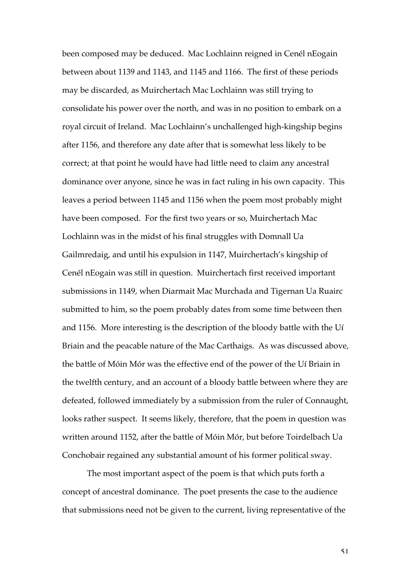been composed may be deduced. Mac Lochlainn reigned in Cenél nEogain between about 1139 and 1143, and 1145 and 1166. The first of these periods may be discarded, as Muirchertach Mac Lochlainn was still trying to consolidate his power over the north, and was in no position to embark on a royal circuit of Ireland. Mac Lochlainn's unchallenged high-kingship begins after 1156, and therefore any date after that is somewhat less likely to be correct; at that point he would have had little need to claim any ancestral dominance over anyone, since he was in fact ruling in his own capacity. This leaves a period between 1145 and 1156 when the poem most probably might have been composed. For the first two years or so, Muirchertach Mac Lochlainn was in the midst of his final struggles with Domnall Ua Gailmredaig, and until his expulsion in 1147, Muirchertach's kingship of Cenél nEogain was still in question. Muirchertach first received important submissions in 1149, when Diarmait Mac Murchada and Tigernan Ua Ruairc submitted to him, so the poem probably dates from some time between then and 1156. More interesting is the description of the bloody battle with the Uí Briain and the peacable nature of the Mac Carthaigs. As was discussed above, the battle of Móin Mór was the effective end of the power of the Uí Briain in the twelfth century, and an account of a bloody battle between where they are defeated, followed immediately by a submission from the ruler of Connaught, looks rather suspect. It seems likely, therefore, that the poem in question was written around 1152, after the battle of Móin Mór, but before Toirdelbach Ua Conchobair regained any substantial amount of his former political sway.

The most important aspect of the poem is that which puts forth a concept of ancestral dominance. The poet presents the case to the audience that submissions need not be given to the current, living representative of the

51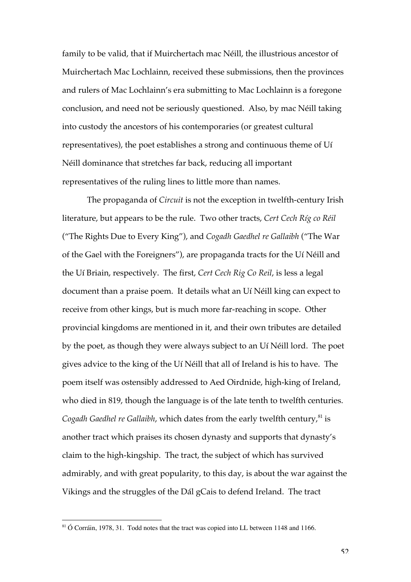family to be valid, that if Muirchertach mac Néill, the illustrious ancestor of Muirchertach Mac Lochlainn, received these submissions, then the provinces and rulers of Mac Lochlainn's era submitting to Mac Lochlainn is a foregone conclusion, and need not be seriously questioned. Also, by mac Néill taking into custody the ancestors of his contemporaries (or greatest cultural representatives), the poet establishes a strong and continuous theme of Uí Néill dominance that stretches far back, reducing all important representatives of the ruling lines to little more than names.

The propaganda of *Circuit* is not the exception in twelfth-century Irish literature, but appears to be the rule. Two other tracts, *Cert Cech Ríg co Réil* ("The Rights Due to Every King"), and *Cogadh Gaedhel re Gallaibh* ("The War of the Gael with the Foreigners"), are propaganda tracts for the Uí Néill and the Uí Briain, respectively. The first, *Cert Cech Rig Co Reil*, is less a legal document than a praise poem. It details what an Uí Néill king can expect to receive from other kings, but is much more far-reaching in scope. Other provincial kingdoms are mentioned in it, and their own tributes are detailed by the poet, as though they were always subject to an Uí Néill lord. The poet gives advice to the king of the Uí Néill that all of Ireland is his to have. The poem itself was ostensibly addressed to Aed Oirdnide, high-king of Ireland, who died in 819, though the language is of the late tenth to twelfth centuries. Cogadh Gaedhel re Gallaibh, which dates from the early twelfth century,<sup>81</sup> is another tract which praises its chosen dynasty and supports that dynasty's claim to the high-kingship. The tract, the subject of which has survived admirably, and with great popularity, to this day, is about the war against the Vikings and the struggles of the Dál gCais to defend Ireland. The tract

<sup>&</sup>lt;sup>81</sup> Ó Corráin, 1978, 31. Todd notes that the tract was copied into LL between 1148 and 1166.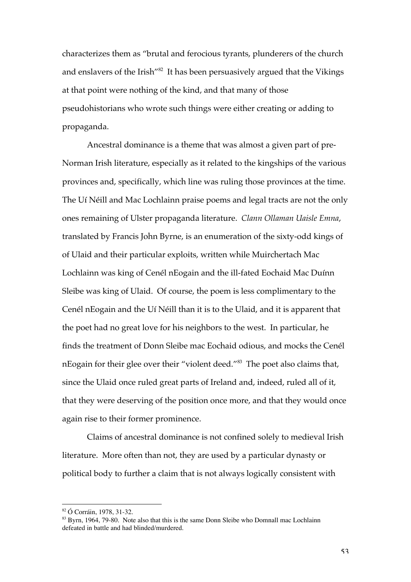characterizes them as "brutal and ferocious tyrants, plunderers of the church and enslavers of the Irish"<sup>82</sup> It has been persuasively argued that the Vikings at that point were nothing of the kind, and that many of those pseudohistorians who wrote such things were either creating or adding to propaganda.

Ancestral dominance is a theme that was almost a given part of pre-Norman Irish literature, especially as it related to the kingships of the various provinces and, specifically, which line was ruling those provinces at the time. The Uí Néill and Mac Lochlainn praise poems and legal tracts are not the only ones remaining of Ulster propaganda literature. *Clann Ollaman Uaisle Emna*, translated by Francis John Byrne, is an enumeration of the sixty-odd kings of of Ulaid and their particular exploits, written while Muirchertach Mac Lochlainn was king of Cenél nEogain and the ill-fated Eochaid Mac Duínn Sleibe was king of Ulaid. Of course, the poem is less complimentary to the Cenél nEogain and the Uí Néill than it is to the Ulaid, and it is apparent that the poet had no great love for his neighbors to the west. In particular, he finds the treatment of Donn Sleibe mac Eochaid odious, and mocks the Cenél nEogain for their glee over their "violent deed." $^{\text{83}}$  The poet also claims that, since the Ulaid once ruled great parts of Ireland and, indeed, ruled all of it, that they were deserving of the position once more, and that they would once again rise to their former prominence.

Claims of ancestral dominance is not confined solely to medieval Irish literature. More often than not, they are used by a particular dynasty or political body to further a claim that is not always logically consistent with

 <sup>82</sup> Ó Corráin, 1978, 31-32.

<sup>&</sup>lt;sup>83</sup> Byrn, 1964, 79-80. Note also that this is the same Donn Sleibe who Domnall mac Lochlainn defeated in battle and had blinded/murdered.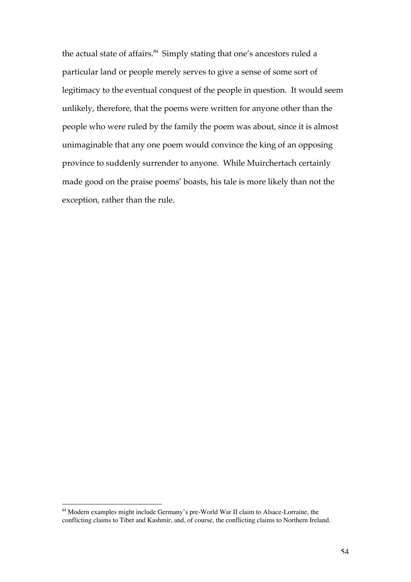the actual state of affairs.<sup>84</sup> Simply stating that one's ancestors ruled a particular land or people merely serves to give a sense of some sort of legitimacy to the eventual conquest of the people in question. It would seem unlikely, therefore, that the poems were written for anyone other than the people who were ruled by the family the poem was about, since it is almost unimaginable that any one poem would convince the king of an opposing province to suddenly surrender to anyone. While Muirchertach certainly made good on the praise poems' boasts, his tale is more likely than not the exception, rather than the rule.

<sup>&</sup>lt;sup>84</sup> Modern examples might include Germany's pre-World War II claim to Alsace-Lorraine, the conflicting claims to Tibet and Kashmir, and, of course, the conflicting claims to Northern Ireland.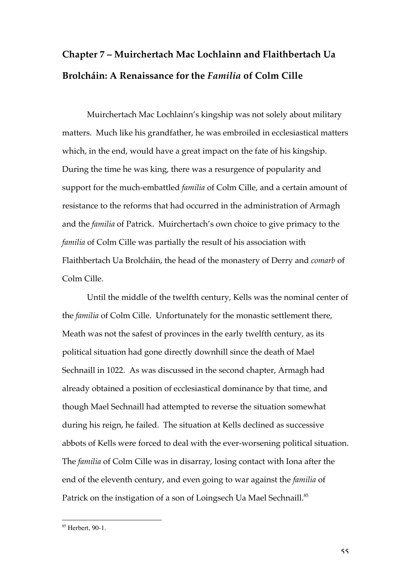# **Chapter 7 – Muirchertach Mac Lochlainn and Flaithbertach Ua Brolcháin: A Renaissance for the** *Familia* **of Colm Cille**

Muirchertach Mac Lochlainn's kingship was not solely about military matters. Much like his grandfather, he was embroiled in ecclesiastical matters which, in the end, would have a great impact on the fate of his kingship. During the time he was king, there was a resurgence of popularity and support for the much-embattled *familia* of Colm Cille, and a certain amount of resistance to the reforms that had occurred in the administration of Armagh and the *familia* of Patrick. Muirchertach's own choice to give primacy to the *familia* of Colm Cille was partially the result of his association with Flaithbertach Ua Brolcháin, the head of the monastery of Derry and *comarb* of Colm Cille.

Until the middle of the twelfth century, Kells was the nominal center of the *familia* of Colm Cille. Unfortunately for the monastic settlement there, Meath was not the safest of provinces in the early twelfth century, as its political situation had gone directly downhill since the death of Mael Sechnaill in 1022. As was discussed in the second chapter, Armagh had already obtained a position of ecclesiastical dominance by that time, and though Mael Sechnaill had attempted to reverse the situation somewhat during his reign, he failed. The situation at Kells declined as successive abbots of Kells were forced to deal with the ever-worsening political situation. The *familia* of Colm Cille was in disarray, losing contact with Iona after the end of the eleventh century, and even going to war against the *familia* of Patrick on the instigation of a son of Loingsech Ua Mael Sechnaill.<sup>85</sup>

<sup>&</sup>lt;sup>85</sup> Herbert, 90-1.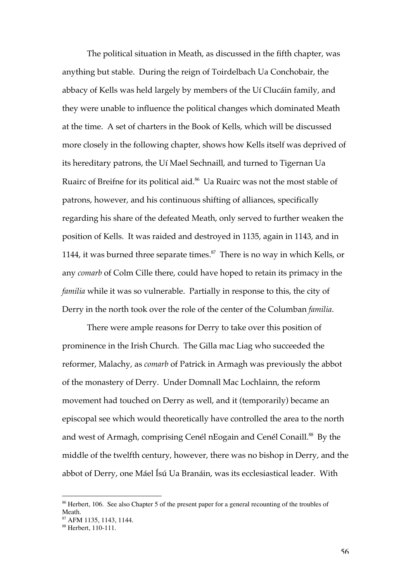The political situation in Meath, as discussed in the fifth chapter, was anything but stable. During the reign of Toirdelbach Ua Conchobair, the abbacy of Kells was held largely by members of the Uí Clucáin family, and they were unable to influence the political changes which dominated Meath at the time. A set of charters in the Book of Kells, which will be discussed more closely in the following chapter, shows how Kells itself was deprived of its hereditary patrons, the Uí Mael Sechnaill, and turned to Tigernan Ua Ruairc of Breifne for its political aid. $^{86}$  Ua Ruairc was not the most stable of patrons, however, and his continuous shifting of alliances, specifically regarding his share of the defeated Meath, only served to further weaken the position of Kells. It was raided and destroyed in 1135, again in 1143, and in 1144, it was burned three separate times. $^{87}$  There is no way in which Kells, or any *comarb* of Colm Cille there, could have hoped to retain its primacy in the *familia* while it was so vulnerable. Partially in response to this, the city of Derry in the north took over the role of the center of the Columban *familia*.

There were ample reasons for Derry to take over this position of prominence in the Irish Church. The Gilla mac Liag who succeeded the reformer, Malachy, as *comarb* of Patrick in Armagh was previously the abbot of the monastery of Derry. Under Domnall Mac Lochlainn, the reform movement had touched on Derry as well, and it (temporarily) became an episcopal see which would theoretically have controlled the area to the north and west of Armagh, comprising Cenél nEogain and Cenél Conaill. $^{88}$  By the middle of the twelfth century, however, there was no bishop in Derry, and the abbot of Derry, one Máel Ísú Ua Branáin, was its ecclesiastical leader. With

<sup>&</sup>lt;sup>86</sup> Herbert, 106. See also Chapter 5 of the present paper for a general recounting of the troubles of Meath.

<sup>87</sup> AFM 1135, 1143, 1144.

<sup>88</sup> Herbert, 110-111.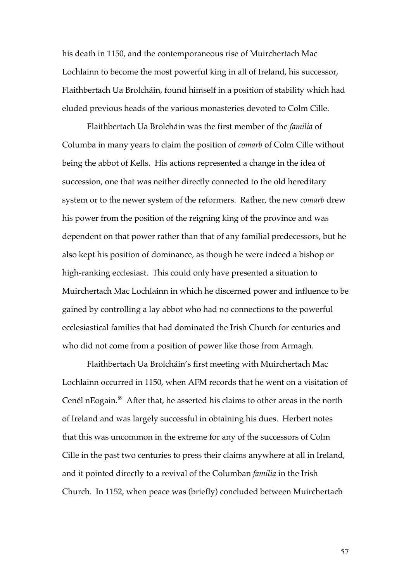his death in 1150, and the contemporaneous rise of Muirchertach Mac Lochlainn to become the most powerful king in all of Ireland, his successor, Flaithbertach Ua Brolcháin, found himself in a position of stability which had eluded previous heads of the various monasteries devoted to Colm Cille.

Flaithbertach Ua Brolcháin was the first member of the *familia* of Columba in many years to claim the position of *comarb* of Colm Cille without being the abbot of Kells. His actions represented a change in the idea of succession, one that was neither directly connected to the old hereditary system or to the newer system of the reformers. Rather, the new *comarb* drew his power from the position of the reigning king of the province and was dependent on that power rather than that of any familial predecessors, but he also kept his position of dominance, as though he were indeed a bishop or high-ranking ecclesiast. This could only have presented a situation to Muirchertach Mac Lochlainn in which he discerned power and influence to be gained by controlling a lay abbot who had no connections to the powerful ecclesiastical families that had dominated the Irish Church for centuries and who did not come from a position of power like those from Armagh.

Flaithbertach Ua Brolcháin's first meeting with Muirchertach Mac Lochlainn occurred in 1150, when AFM records that he went on a visitation of Cenél nEogain.<sup>89</sup> After that, he asserted his claims to other areas in the north of Ireland and was largely successful in obtaining his dues. Herbert notes that this was uncommon in the extreme for any of the successors of Colm Cille in the past two centuries to press their claims anywhere at all in Ireland, and it pointed directly to a revival of the Columban *familia* in the Irish Church. In 1152, when peace was (briefly) concluded between Muirchertach

57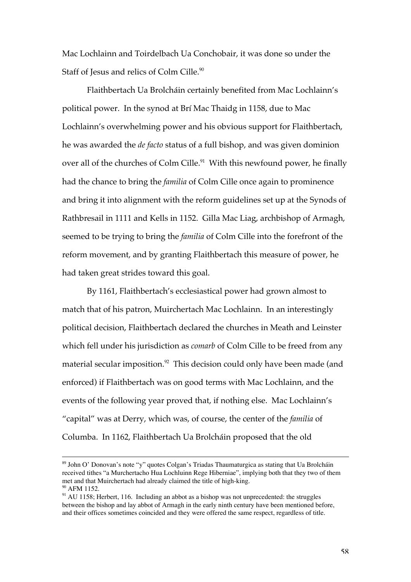Mac Lochlainn and Toirdelbach Ua Conchobair, it was done so under the Staff of Jesus and relics of Colm Cille.<sup>90</sup>

Flaithbertach Ua Brolcháin certainly benefited from Mac Lochlainn's political power. In the synod at Brí Mac Thaidg in 1158, due to Mac Lochlainn's overwhelming power and his obvious support for Flaithbertach, he was awarded the *de facto* status of a full bishop, and was given dominion over all of the churches of Colm Cille.<sup>91</sup> With this newfound power, he finally had the chance to bring the *familia* of Colm Cille once again to prominence and bring it into alignment with the reform guidelines set up at the Synods of Rathbresail in 1111 and Kells in 1152. Gilla Mac Liag, archbishop of Armagh, seemed to be trying to bring the *familia* of Colm Cille into the forefront of the reform movement, and by granting Flaithbertach this measure of power, he had taken great strides toward this goal.

By 1161, Flaithbertach's ecclesiastical power had grown almost to match that of his patron, Muirchertach Mac Lochlainn. In an interestingly political decision, Flaithbertach declared the churches in Meath and Leinster which fell under his jurisdiction as *comarb* of Colm Cille to be freed from any material secular imposition. $^{\textrm{\tiny{92}}}$  This decision could only have been made (and enforced) if Flaithbertach was on good terms with Mac Lochlainn, and the events of the following year proved that, if nothing else. Mac Lochlainn's "capital" was at Derry, which was, of course, the center of the *familia* of Columba. In 1162, Flaithbertach Ua Brolcháin proposed that the old

<sup>&</sup>lt;sup>89</sup> John O' Donovan's note "y" quotes Colgan's Triadas Thaumaturgica as stating that Ua Brolcháin received tithes "a Murchertacho Hua Lochluinn Rege Hiberniae", implying both that they two of them met and that Muirchertach had already claimed the title of high-king. <sup>90</sup> AFM 1152.

<sup>&</sup>lt;sup>91</sup> AU 1158; Herbert, 116. Including an abbot as a bishop was not unprecedented: the struggles between the bishop and lay abbot of Armagh in the early ninth century have been mentioned before, and their offices sometimes coincided and they were offered the same respect, regardless of title.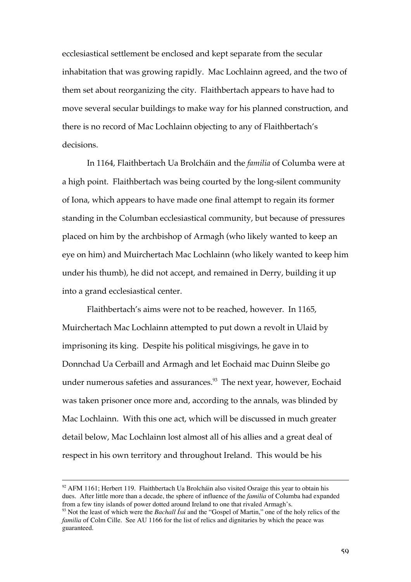ecclesiastical settlement be enclosed and kept separate from the secular inhabitation that was growing rapidly. Mac Lochlainn agreed, and the two of them set about reorganizing the city. Flaithbertach appears to have had to move several secular buildings to make way for his planned construction, and there is no record of Mac Lochlainn objecting to any of Flaithbertach's decisions.

In 1164, Flaithbertach Ua Brolcháin and the *familia* of Columba were at a high point. Flaithbertach was being courted by the long-silent community of Iona, which appears to have made one final attempt to regain its former standing in the Columban ecclesiastical community, but because of pressures placed on him by the archbishop of Armagh (who likely wanted to keep an eye on him) and Muirchertach Mac Lochlainn (who likely wanted to keep him under his thumb), he did not accept, and remained in Derry, building it up into a grand ecclesiastical center.

Flaithbertach's aims were not to be reached, however. In 1165, Muirchertach Mac Lochlainn attempted to put down a revolt in Ulaid by imprisoning its king. Despite his political misgivings, he gave in to Donnchad Ua Cerbaill and Armagh and let Eochaid mac Duinn Sleibe go under numerous safeties and assurances.<sup>93</sup> The next year, however, Eochaid was taken prisoner once more and, according to the annals, was blinded by Mac Lochlainn. With this one act, which will be discussed in much greater detail below, Mac Lochlainn lost almost all of his allies and a great deal of respect in his own territory and throughout Ireland. This would be his

<sup>&</sup>lt;sup>92</sup> AFM 1161; Herbert 119. Flaithbertach Ua Brolcháin also visited Osraige this year to obtain his dues. After little more than a decade, the sphere of influence of the *familia* of Columba had expanded from a few tiny islands of power dotted around Ireland to one that rivaled Armagh's.

<sup>93</sup> Not the least of which were the *Bachall Ísú* and the "Gospel of Martin," one of the holy relics of the *familia* of Colm Cille. See AU 1166 for the list of relics and dignitaries by which the peace was guaranteed.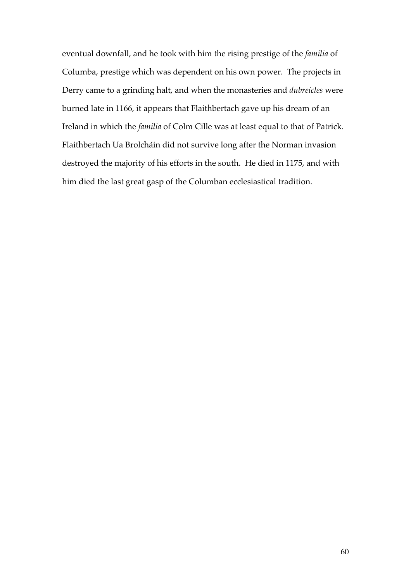eventual downfall, and he took with him the rising prestige of the *familia* of Columba, prestige which was dependent on his own power. The projects in Derry came to a grinding halt, and when the monasteries and *dubreicles* were burned late in 1166, it appears that Flaithbertach gave up his dream of an Ireland in which the *familia* of Colm Cille was at least equal to that of Patrick. Flaithbertach Ua Brolcháin did not survive long after the Norman invasion destroyed the majority of his efforts in the south. He died in 1175, and with him died the last great gasp of the Columban ecclesiastical tradition.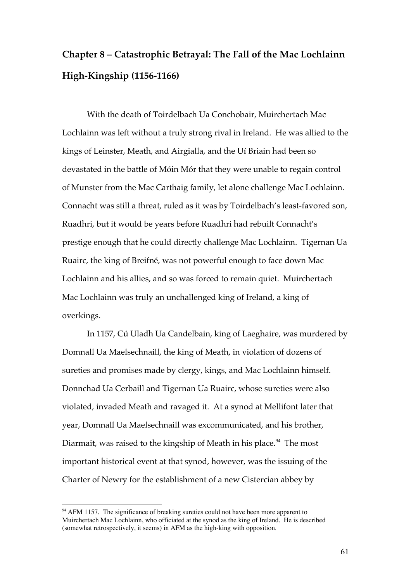## **Chapter 8 – Catastrophic Betrayal: The Fall of the Mac Lochlainn High-Kingship (1156-1166)**

With the death of Toirdelbach Ua Conchobair, Muirchertach Mac Lochlainn was left without a truly strong rival in Ireland. He was allied to the kings of Leinster, Meath, and Airgialla, and the Uí Briain had been so devastated in the battle of Móin Mór that they were unable to regain control of Munster from the Mac Carthaig family, let alone challenge Mac Lochlainn. Connacht was still a threat, ruled as it was by Toirdelbach's least-favored son, Ruadhri, but it would be years before Ruadhri had rebuilt Connacht's prestige enough that he could directly challenge Mac Lochlainn. Tigernan Ua Ruairc, the king of Breifné, was not powerful enough to face down Mac Lochlainn and his allies, and so was forced to remain quiet. Muirchertach Mac Lochlainn was truly an unchallenged king of Ireland, a king of overkings.

In 1157, Cú Uladh Ua Candelbain, king of Laeghaire, was murdered by Domnall Ua Maelsechnaill, the king of Meath, in violation of dozens of sureties and promises made by clergy, kings, and Mac Lochlainn himself. Donnchad Ua Cerbaill and Tigernan Ua Ruairc, whose sureties were also violated, invaded Meath and ravaged it. At a synod at Mellifont later that year, Domnall Ua Maelsechnaill was excommunicated, and his brother, Diarmait, was raised to the kingship of Meath in his place.<sup>94</sup> The most important historical event at that synod, however, was the issuing of the Charter of Newry for the establishment of a new Cistercian abbey by

<sup>&</sup>lt;sup>94</sup> AFM 1157. The significance of breaking sureties could not have been more apparent to Muirchertach Mac Lochlainn, who officiated at the synod as the king of Ireland. He is described (somewhat retrospectively, it seems) in AFM as the high-king with opposition.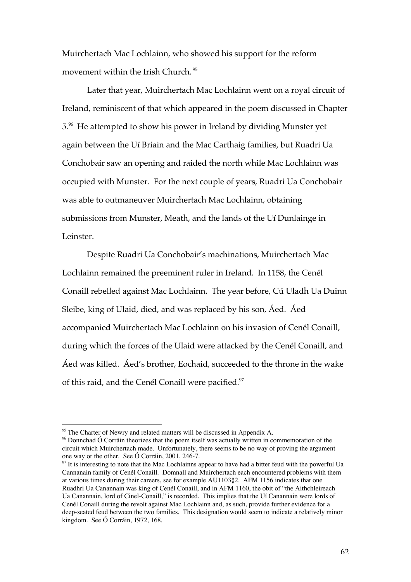Muirchertach Mac Lochlainn, who showed his support for the reform movement within the Irish Church. <sup>95</sup>

Later that year, Muirchertach Mac Lochlainn went on a royal circuit of Ireland, reminiscent of that which appeared in the poem discussed in Chapter 5.<sup>96</sup> He attempted to show his power in Ireland by dividing Munster yet again between the Uí Briain and the Mac Carthaig families, but Ruadri Ua Conchobair saw an opening and raided the north while Mac Lochlainn was occupied with Munster. For the next couple of years, Ruadri Ua Conchobair was able to outmaneuver Muirchertach Mac Lochlainn, obtaining submissions from Munster, Meath, and the lands of the Uí Dunlainge in Leinster.

Despite Ruadri Ua Conchobair's machinations, Muirchertach Mac Lochlainn remained the preeminent ruler in Ireland. In 1158, the Cenél Conaill rebelled against Mac Lochlainn. The year before, Cú Uladh Ua Duinn Sleibe, king of Ulaid, died, and was replaced by his son, Áed. Áed accompanied Muirchertach Mac Lochlainn on his invasion of Cenél Conaill, during which the forces of the Ulaid were attacked by the Cenél Conaill, and Áed was killed. Áed's brother, Eochaid, succeeded to the throne in the wake of this raid, and the Cenél Conaill were pacified.<sup>97</sup>

<sup>&</sup>lt;sup>95</sup> The Charter of Newry and related matters will be discussed in Appendix A.

 $96$  Donnchad Ó Corráin theorizes that the poem itself was actually written in commemoration of the circuit which Muirchertach made. Unfortunately, there seems to be no way of proving the argument one way or the other. See Ó Corráin, 2001, 246-7.

<sup>&</sup>lt;sup>97</sup> It is interesting to note that the Mac Lochlainns appear to have had a bitter feud with the powerful Ua Cannanain family of Cenél Conaill. Domnall and Muirchertach each encountered problems with them at various times during their careers, see for example AU1103§2. AFM 1156 indicates that one Ruadhri Ua Canannain was king of Cenél Conaill, and in AFM 1160, the obit of "the Aithchleireach Ua Canannain, lord of Cinel-Conaill," is recorded. This implies that the Uí Canannain were lords of Cenél Conaill during the revolt against Mac Lochlainn and, as such, provide further evidence for a deep-seated feud between the two families. This designation would seem to indicate a relatively minor kingdom. See Ó Corráin, 1972, 168.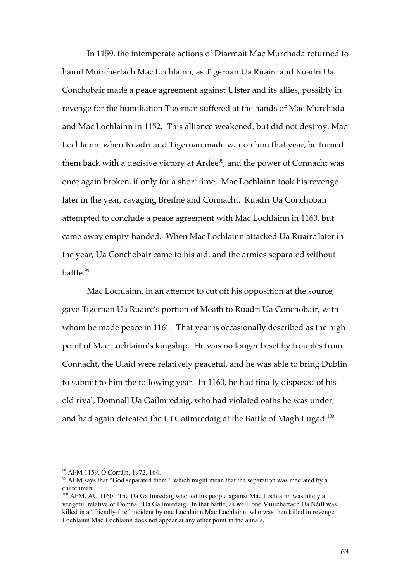In 1159, the intemperate actions of Diarmait Mac Murchada returned to haunt Muirchertach Mac Lochlainn, as Tigernan Ua Ruairc and Ruadri Ua Conchobair made a peace agreement against Ulster and its allies, possibly in revenge for the humiliation Tigernan suffered at the hands of Mac Murchada and Mac Lochlainn in 1152. This alliance weakened, but did not destroy, Mac Lochlainn: when Ruadri and Tigernan made war on him that year, he turned them back with a decisive victory at Ardee<sup>98</sup>, and the power of Connacht was once again broken, if only for a short time. Mac Lochlainn took his revenge later in the year, ravaging Breifné and Connacht. Ruadri Ua Conchobair attempted to conclude a peace agreement with Mac Lochlainn in 1160, but came away empty-handed. When Mac Lochlainn attacked Ua Ruairc later in the year, Ua Conchobair came to his aid, and the armies separated without battle.<sup>99</sup>

Mac Lochlainn, in an attempt to cut off his opposition at the source, gave Tigernan Ua Ruairc's portion of Meath to Ruadri Ua Conchobair, with whom he made peace in 1161. That year is occasionally described as the high point of Mac Lochlainn's kingship. He was no longer beset by troubles from Connacht, the Ulaid were relatively peaceful, and he was able to bring Dublin to submit to him the following year. In 1160, he had finally disposed of his old rival, Domnall Ua Gailmredaig, who had violated oaths he was under, and had again defeated the Uí Gailmredaig at the Battle of Magh Lugad.<sup>100</sup>

 <sup>98</sup> AFM 1159, Ó Corráin, 1972, 164.

<sup>&</sup>lt;sup>99</sup> AFM says that "God separated them," which might mean that the separation was mediated by a churchman.

<sup>&</sup>lt;sup>100</sup> AFM, AU 1160. The Ua Gailmredaig who led his people against Mac Lochlainn was likely a vengeful relative of Domnall Ua Gailmredaig. In that battle, as well, one Muirchertach Ua Néill was killed in a "friendly-fire" incident by one Lochlainn Mac Lochlainn, who was then killed in revenge. Lochlainn Mac Lochlainn does not appear at any other point in the annals.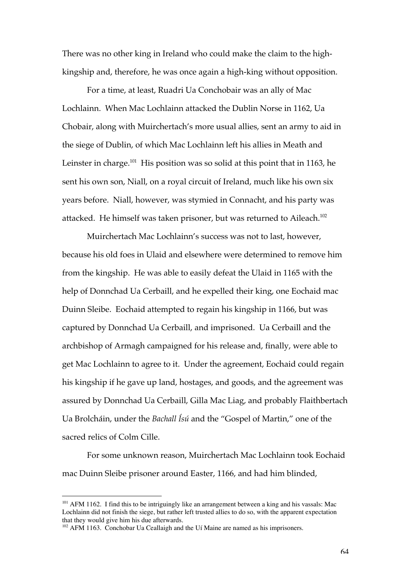There was no other king in Ireland who could make the claim to the highkingship and, therefore, he was once again a high-king without opposition.

For a time, at least, Ruadri Ua Conchobair was an ally of Mac Lochlainn. When Mac Lochlainn attacked the Dublin Norse in 1162, Ua Chobair, along with Muirchertach's more usual allies, sent an army to aid in the siege of Dublin, of which Mac Lochlainn left his allies in Meath and Leinster in charge. $^{101}$  His position was so solid at this point that in 1163, he sent his own son, Niall, on a royal circuit of Ireland, much like his own six years before. Niall, however, was stymied in Connacht, and his party was attacked. He himself was taken prisoner, but was returned to Aileach.<sup>102</sup>

Muirchertach Mac Lochlainn's success was not to last, however, because his old foes in Ulaid and elsewhere were determined to remove him from the kingship. He was able to easily defeat the Ulaid in 1165 with the help of Donnchad Ua Cerbaill, and he expelled their king, one Eochaid mac Duinn Sleibe. Eochaid attempted to regain his kingship in 1166, but was captured by Donnchad Ua Cerbaill, and imprisoned. Ua Cerbaill and the archbishop of Armagh campaigned for his release and, finally, were able to get Mac Lochlainn to agree to it. Under the agreement, Eochaid could regain his kingship if he gave up land, hostages, and goods, and the agreement was assured by Donnchad Ua Cerbaill, Gilla Mac Liag, and probably Flaithbertach Ua Brolcháin, under the *Bachall Ísú* and the "Gospel of Martin," one of the sacred relics of Colm Cille.

For some unknown reason, Muirchertach Mac Lochlainn took Eochaid mac Duinn Sleibe prisoner around Easter, 1166, and had him blinded,

<sup>&</sup>lt;sup>101</sup> AFM 1162. I find this to be intriguingly like an arrangement between a king and his vassals: Mac Lochlainn did not finish the siege, but rather left trusted allies to do so, with the apparent expectation that they would give him his due afterwards.

<sup>&</sup>lt;sup>102</sup> AFM 1163. Conchobar Ua Ceallaigh and the Uí Maine are named as his imprisoners.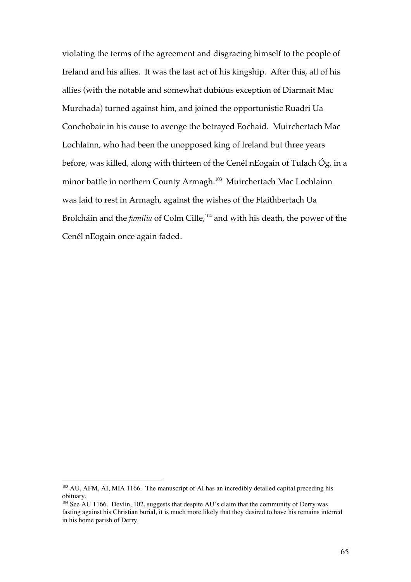violating the terms of the agreement and disgracing himself to the people of Ireland and his allies. It was the last act of his kingship. After this, all of his allies (with the notable and somewhat dubious exception of Diarmait Mac Murchada) turned against him, and joined the opportunistic Ruadri Ua Conchobair in his cause to avenge the betrayed Eochaid. Muirchertach Mac Lochlainn, who had been the unopposed king of Ireland but three years before, was killed, along with thirteen of the Cenél nEogain of Tulach Óg, in a minor battle in northern County Armagh.<sup>103</sup> Muirchertach Mac Lochlainn was laid to rest in Armagh, against the wishes of the Flaithbertach Ua Brolcháin and the *familia* of Colm Cille,<sup>104</sup> and with his death, the power of the Cenél nEogain once again faded.

<sup>&</sup>lt;sup>103</sup> AU, AFM, AI, MIA 1166. The manuscript of AI has an incredibly detailed capital preceding his obituary.

<sup>&</sup>lt;sup>104</sup> See AU 1166. Devlin, 102, suggests that despite AU's claim that the community of Derry was fasting against his Christian burial, it is much more likely that they desired to have his remains interred in his home parish of Derry.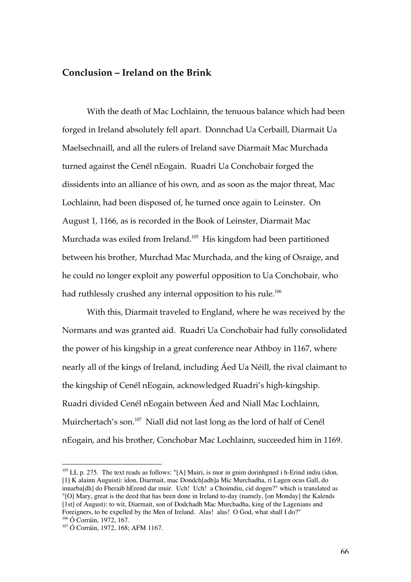### **Conclusion – Ireland on the Brink**

With the death of Mac Lochlainn, the tenuous balance which had been forged in Ireland absolutely fell apart. Donnchad Ua Cerbaill, Diarmait Ua Maelsechnaill, and all the rulers of Ireland save Diarmait Mac Murchada turned against the Cenél nEogain. Ruadri Ua Conchobair forged the dissidents into an alliance of his own, and as soon as the major threat, Mac Lochlainn, had been disposed of, he turned once again to Leinster. On August 1, 1166, as is recorded in the Book of Leinster, Diarmait Mac Murchada was exiled from Ireland.<sup>105</sup> His kingdom had been partitioned between his brother, Murchad Mac Murchada, and the king of Osraige, and he could no longer exploit any powerful opposition to Ua Conchobair, who had ruthlessly crushed any internal opposition to his rule.<sup>106</sup>

With this, Diarmait traveled to England, where he was received by the Normans and was granted aid. Ruadri Ua Conchobair had fully consolidated the power of his kingship in a great conference near Athboy in 1167, where nearly all of the kings of Ireland, including Áed Ua Néill, the rival claimant to the kingship of Cenél nEogain, acknowledged Ruadri's high-kingship. Ruadri divided Cenél nEogain between Áed and Niall Mac Lochlainn, Muirchertach's son.<sup>107</sup> Niall did not last long as the lord of half of Cenél nEogain, and his brother, Conchobar Mac Lochlainn, succeeded him in 1169.

<sup>&</sup>lt;sup>105</sup> LL p. 275. The text reads as follows: "[A] Muiri, is mor in gnim dorinhgned i h-Erind indiu (idon, [1] K alainn Auguist): idon, Diarmait, mac Dondch[adh]a Mic Murchadha, ri Lagen ocus Gall, do innarba[dh] do Fheraib hErend dar muir. Uch! Uch! a Choimdiu, cid dogen?" which is translated as "[O] Mary, great is the deed that has been done in Ireland to-day (namely, [on Monday] the Kalends [1st] of August): to wit, Diarmait, son of Dodchadh Mac Murchadha, king of the Lagenians and Foreigners, to be expelled by the Men of Ireland. Alas! alas! O God, what shall I do?" 106 Ó Corráin, 1972, 167.

<sup>107</sup> Ó Corráin, 1972, 168; AFM 1167.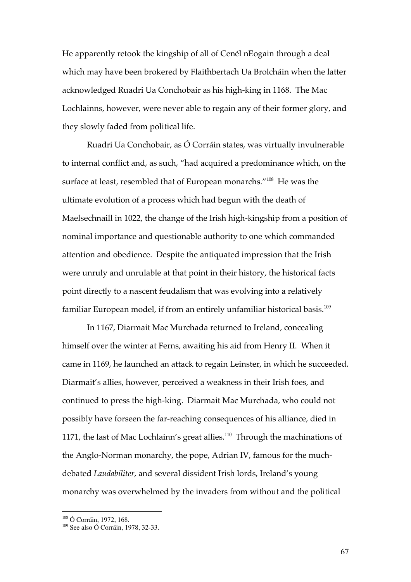He apparently retook the kingship of all of Cenél nEogain through a deal which may have been brokered by Flaithbertach Ua Brolcháin when the latter acknowledged Ruadri Ua Conchobair as his high-king in 1168. The Mac Lochlainns, however, were never able to regain any of their former glory, and they slowly faded from political life.

Ruadri Ua Conchobair, as Ó Corráin states, was virtually invulnerable to internal conflict and, as such, "had acquired a predominance which, on the surface at least, resembled that of European monarchs."<sup>108</sup> He was the ultimate evolution of a process which had begun with the death of Maelsechnaill in 1022, the change of the Irish high-kingship from a position of nominal importance and questionable authority to one which commanded attention and obedience. Despite the antiquated impression that the Irish were unruly and unrulable at that point in their history, the historical facts point directly to a nascent feudalism that was evolving into a relatively familiar European model, if from an entirely unfamiliar historical basis.<sup>109</sup>

In 1167, Diarmait Mac Murchada returned to Ireland, concealing himself over the winter at Ferns, awaiting his aid from Henry II. When it came in 1169, he launched an attack to regain Leinster, in which he succeeded. Diarmait's allies, however, perceived a weakness in their Irish foes, and continued to press the high-king. Diarmait Mac Murchada, who could not possibly have forseen the far-reaching consequences of his alliance, died in 1171, the last of Mac Lochlainn's great allies.<sup>110</sup> Through the machinations of the Anglo-Norman monarchy, the pope, Adrian IV, famous for the muchdebated *Laudabiliter*, and several dissident Irish lords, Ireland's young monarchy was overwhelmed by the invaders from without and the political

 <sup>108</sup> Ó Corráin, 1972, 168.

<sup>109</sup> See also Ó Corráin, 1978, 32-33.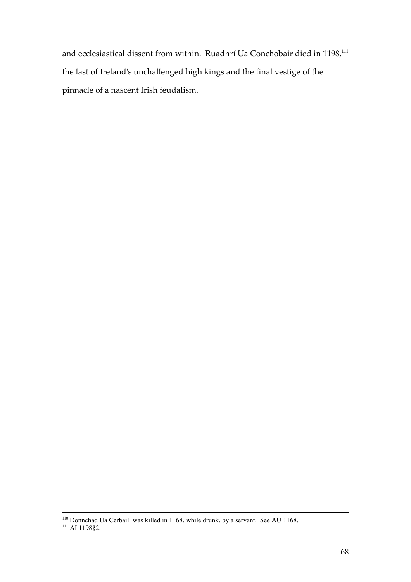and ecclesiastical dissent from within. Ruadhrí Ua Conchobair died in 1198,<sup>111</sup> the last of Ireland's unchallenged high kings and the final vestige of the pinnacle of a nascent Irish feudalism.

<sup>&</sup>lt;sup>110</sup> Donnchad Ua Cerbaill was killed in 1168, while drunk, by a servant. See AU 1168.<br><sup>111</sup> AI 1198§2.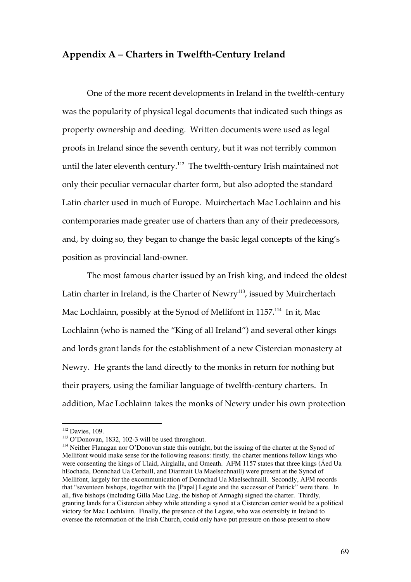#### **Appendix A – Charters in Twelfth-Century Ireland**

One of the more recent developments in Ireland in the twelfth-century was the popularity of physical legal documents that indicated such things as property ownership and deeding. Written documents were used as legal proofs in Ireland since the seventh century, but it was not terribly common until the later eleventh century. $^{112}$  The twelfth-century Irish maintained not only their peculiar vernacular charter form, but also adopted the standard Latin charter used in much of Europe. Muirchertach Mac Lochlainn and his contemporaries made greater use of charters than any of their predecessors, and, by doing so, they began to change the basic legal concepts of the king's position as provincial land-owner.

The most famous charter issued by an Irish king, and indeed the oldest Latin charter in Ireland, is the Charter of Newry<sup>113</sup>, issued by Muirchertach Mac Lochlainn, possibly at the Synod of Mellifont in 1157.<sup>114</sup> In it, Mac Lochlainn (who is named the "King of all Ireland") and several other kings and lords grant lands for the establishment of a new Cistercian monastery at Newry. He grants the land directly to the monks in return for nothing but their prayers, using the familiar language of twelfth-century charters. In addition, Mac Lochlainn takes the monks of Newry under his own protection

 <sup>112</sup> Davies, 109.

<sup>113</sup> O'Donovan, 1832, 102-3 will be used throughout.

<sup>&</sup>lt;sup>114</sup> Neither Flanagan nor O'Donovan state this outright, but the issuing of the charter at the Synod of Mellifont would make sense for the following reasons: firstly, the charter mentions fellow kings who were consenting the kings of Ulaid, Airgialla, and Omeath. AFM 1157 states that three kings (Áed Ua hEochada, Donnchad Ua Cerbaill, and Diarmait Ua Maelsechnaill) were present at the Synod of Mellifont, largely for the excommunication of Donnchad Ua Maelsechnaill. Secondly, AFM records that "seventeen bishops, together with the [Papal] Legate and the successor of Patrick" were there. In all, five bishops (including Gilla Mac Liag, the bishop of Armagh) signed the charter. Thirdly, granting lands for a Cistercian abbey while attending a synod at a Cistercian center would be a political victory for Mac Lochlainn. Finally, the presence of the Legate, who was ostensibly in Ireland to oversee the reformation of the Irish Church, could only have put pressure on those present to show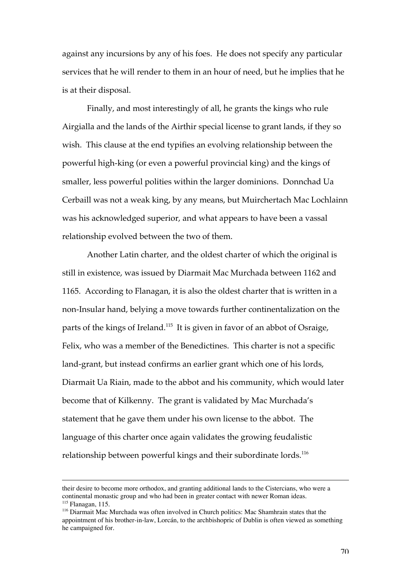against any incursions by any of his foes. He does not specify any particular services that he will render to them in an hour of need, but he implies that he is at their disposal.

Finally, and most interestingly of all, he grants the kings who rule Airgialla and the lands of the Airthir special license to grant lands, if they so wish. This clause at the end typifies an evolving relationship between the powerful high-king (or even a powerful provincial king) and the kings of smaller, less powerful polities within the larger dominions. Donnchad Ua Cerbaill was not a weak king, by any means, but Muirchertach Mac Lochlainn was his acknowledged superior, and what appears to have been a vassal relationship evolved between the two of them.

Another Latin charter, and the oldest charter of which the original is still in existence, was issued by Diarmait Mac Murchada between 1162 and 1165. According to Flanagan, it is also the oldest charter that is written in a non-Insular hand, belying a move towards further continentalization on the parts of the kings of Ireland.<sup>115</sup> It is given in favor of an abbot of Osraige, Felix, who was a member of the Benedictines. This charter is not a specific land-grant, but instead confirms an earlier grant which one of his lords, Diarmait Ua Riain, made to the abbot and his community, which would later become that of Kilkenny. The grant is validated by Mac Murchada's statement that he gave them under his own license to the abbot. The language of this charter once again validates the growing feudalistic relationship between powerful kings and their subordinate lords.<sup>116</sup>

 $\overline{a}$ 

their desire to become more orthodox, and granting additional lands to the Cistercians, who were a continental monastic group and who had been in greater contact with newer Roman ideas. <sup>115</sup> Flanagan, 115.

<sup>&</sup>lt;sup>116</sup> Diarmait Mac Murchada was often involved in Church politics: Mac Shamhrain states that the appointment of his brother-in-law, Lorcán, to the archbishopric of Dublin is often viewed as something he campaigned for.